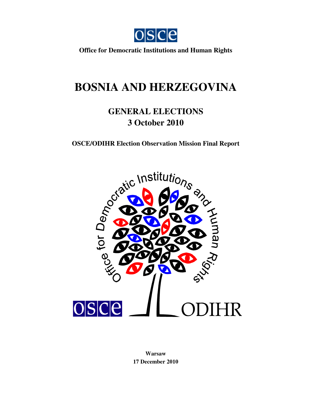

**Office for Democratic Institutions and Human Rights**

# **BOSNIA AND HERZEGOVINA**

## **GENERAL ELECTIONS 3 October 2010**



**Warsaw 17 December 2010**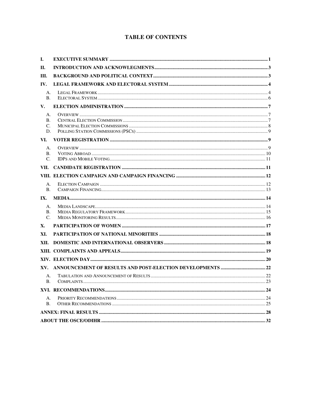## **TABLE OF CONTENTS**

| Ι.                      |  |
|-------------------------|--|
| П.                      |  |
| III.                    |  |
| IV.                     |  |
| А.<br>B.                |  |
| V.                      |  |
| А.<br>В.<br>C.<br>D.    |  |
| VI.                     |  |
| А.<br>В.<br>$C_{\cdot}$ |  |
| VII.                    |  |
|                         |  |
| А.<br>B.                |  |
| IX.                     |  |
| А.<br>В.<br>$C_{\cdot}$ |  |
| X.                      |  |
| XI.                     |  |
| XII.                    |  |
|                         |  |
|                         |  |
| XV.                     |  |
| А.<br>В.                |  |
|                         |  |
| А.<br><b>B.</b>         |  |
|                         |  |
|                         |  |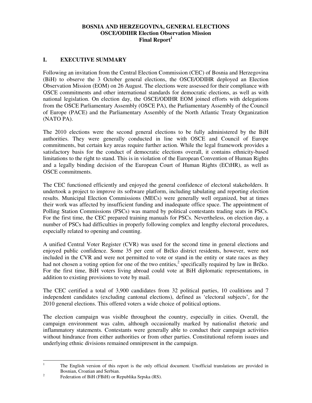#### **BOSNIA AND HERZEGOVINA, GENERAL ELECTIONS OSCE/ODIHR Election Observation Mission Final Report<sup>1</sup>**

#### **I. EXECUTIVE SUMMARY**

Following an invitation from the Central Election Commission (CEC) of Bosnia and Herzegovina (BiH) to observe the 3 October general elections, the OSCE/ODIHR deployed an Election Observation Mission (EOM) on 26 August. The elections were assessed for their compliance with OSCE commitments and other international standards for democratic elections, as well as with national legislation. On election day, the OSCE/ODIHR EOM joined efforts with delegations from the OSCE Parliamentary Assembly (OSCE PA), the Parliamentary Assembly of the Council of Europe (PACE) and the Parliamentary Assembly of the North Atlantic Treaty Organization (NATO PA).

The 2010 elections were the second general elections to be fully administered by the BiH authorities. They were generally conducted in line with OSCE and Council of Europe commitments, but certain key areas require further action. While the legal framework provides a satisfactory basis for the conduct of democratic elections overall, it contains ethnicity-based limitations to the right to stand. This is in violation of the European Convention of Human Rights and a legally binding decision of the European Court of Human Rights (ECtHR), as well as OSCE commitments.

The CEC functioned efficiently and enjoyed the general confidence of electoral stakeholders. It undertook a project to improve its software platform, including tabulating and reporting election results. Municipal Election Commissions (MECs) were generally well organized, but at times their work was affected by insufficient funding and inadequate office space. The appointment of Polling Station Commissions (PSCs) was marred by political contestants trading seats in PSCs. For the first time, the CEC prepared training manuals for PSCs. Nevertheless, on election day, a number of PSCs had difficulties in properly following complex and lengthy electoral procedures, especially related to opening and counting.

A unified Central Voter Register (CVR) was used for the second time in general elections and enjoyed public confidence. Some 35 per cent of Brčko district residents, however, were not included in the CVR and were not permitted to vote or stand in the entity or state races as they had not chosen a voting option for one of the two entities,<sup>2</sup> specifically required by law in Brčko. For the first time, BiH voters living abroad could vote at BiH diplomatic representations, in addition to existing provisions to vote by mail.

The CEC certified a total of 3,900 candidates from 32 political parties, 10 coalitions and 7 independent candidates (excluding cantonal elections), defined as 'electoral subjects', for the 2010 general elections. This offered voters a wide choice of political options.

The election campaign was visible throughout the country, especially in cities. Overall, the campaign environment was calm, although occasionally marked by nationalist rhetoric and inflammatory statements. Contestants were generally able to conduct their campaign activities without hindrance from either authorities or from other parties. Constitutional reform issues and underlying ethnic divisions remained omnipresent in the campaign.

 $\frac{1}{1}$  The English version of this report is the only official document. Unofficial translations are provided in Bosnian, Croatian and Serbian.

<sup>2</sup> Federation of BiH (FBiH) or Republika Srpska (RS).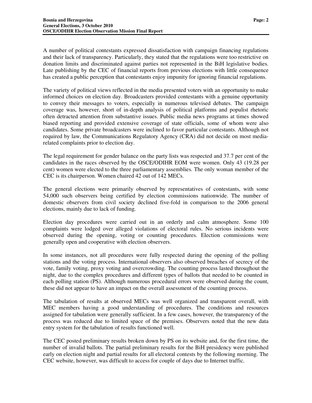A number of political contestants expressed dissatisfaction with campaign financing regulations and their lack of transparency. Particularly, they stated that the regulations were too restrictive on donation limits and discriminated against parties not represented in the BiH legislative bodies. Late publishing by the CEC of financial reports from previous elections with little consequence has created a public perception that contestants enjoy impunity for ignoring financial regulations.

The variety of political views reflected in the media presented voters with an opportunity to make informed choices on election day. Broadcasters provided contestants with a genuine opportunity to convey their messages to voters, especially in numerous televised debates. The campaign coverage was, however, short of in-depth analysis of political platforms and populist rhetoric often detracted attention from substantive issues. Public media news programs at times showed biased reporting and provided extensive coverage of state officials, some of whom were also candidates. Some private broadcasters were inclined to favor particular contestants. Although not required by law, the Communications Regulatory Agency (CRA) did not decide on most mediarelated complaints prior to election day.

The legal requirement for gender balance on the party lists was respected and 37.7 per cent of the candidates in the races observed by the OSCE/ODIHR EOM were women. Only 43 (19.28 per cent) women were elected to the three parliamentary assemblies. The only woman member of the CEC is its chairperson. Women chaired 42 out of 142 MECs.

The general elections were primarily observed by representatives of contestants, with some 54,000 such observers being certified by election commissions nationwide. The number of domestic observers from civil society declined five-fold in comparison to the 2006 general elections, mainly due to lack of funding.

Election day procedures were carried out in an orderly and calm atmosphere. Some 100 complaints were lodged over alleged violations of electoral rules. No serious incidents were observed during the opening, voting or counting procedures. Election commissions were generally open and cooperative with election observers.

In some instances, not all procedures were fully respected during the opening of the polling stations and the voting process. International observers also observed breaches of secrecy of the vote, family voting, proxy voting and overcrowding. The counting process lasted throughout the night, due to the complex procedures and different types of ballots that needed to be counted in each polling station (PS). Although numerous procedural errors were observed during the count, these did not appear to have an impact on the overall assessment of the counting process.

The tabulation of results at observed MECs was well organized and transparent overall, with MEC members having a good understanding of procedures. The conditions and resources assigned for tabulation were generally sufficient. In a few cases, however, the transparency of the process was reduced due to limited space of the premises. Observers noted that the new data entry system for the tabulation of results functioned well.

The CEC posted preliminary results broken down by PS on its website and, for the first time, the number of invalid ballots. The partial preliminary results for the BiH presidency were published early on election night and partial results for all electoral contests by the following morning. The CEC website, however, was difficult to access for couple of days due to Internet traffic.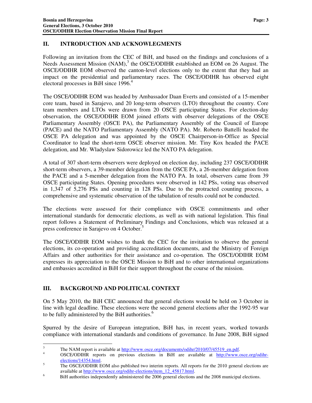#### **II. INTRODUCTION AND ACKNOWLEGMENTS**

Following an invitation from the CEC of BiH, and based on the findings and conclusions of a Needs Assessment Mission  $(NAM)$ ,<sup>3</sup> the OSCE/ODIHR established an EOM on 26 August. The OSCE/ODIHR EOM observed the canton-level elections only to the extent that they had an impact on the presidential and parliamentary races. The OSCE/ODIHR has observed eight electoral processes in BiH since 1996.<sup>4</sup>

The OSCE/ODIHR EOM was headed by Ambassador Daan Everts and consisted of a 15-member core team, based in Sarajevo, and 20 long-term observers (LTO) throughout the country. Core team members and LTOs were drawn from 20 OSCE participating States. For election-day observation, the OSCE/ODIHR EOM joined efforts with observer delegations of the OSCE Parliamentary Assembly (OSCE PA), the Parliamentary Assembly of the Council of Europe (PACE) and the NATO Parliamentary Assembly (NATO PA). Mr. Roberto Battelli headed the OSCE PA delegation and was appointed by the OSCE Chairperson-in-Office as Special Coordinator to lead the short-term OSCE observer mission. Mr. Tiny Kox headed the PACE delegation, and Mr. Wladyslaw Sidorowicz led the NATO PA delegation.

A total of 307 short-term observers were deployed on election day, including 237 OSCE/ODIHR short-term observers, a 39-member delegation from the OSCE PA, a 26-member delegation from the PACE and a 5-member delegation from the NATO PA. In total, observers came from 39 OSCE participating States. Opening procedures were observed in 142 PSs, voting was observed in 1,347 of 5,276 PSs and counting in 128 PSs. Due to the protracted counting process, a comprehensive and systematic observation of the tabulation of results could not be conducted.

The elections were assessed for their compliance with OSCE commitments and other international standards for democratic elections, as well as with national legislation. This final report follows a Statement of Preliminary Findings and Conclusions, which was released at a press conference in Sarajevo on 4 October.<sup>5</sup>

The OSCE/ODIHR EOM wishes to thank the CEC for the invitation to observe the general elections, its co-operation and providing accreditation documents, and the Ministry of Foreign Affairs and other authorities for their assistance and co-operation. The OSCE/ODIHR EOM expresses its appreciation to the OSCE Mission to BiH and to other international organizations and embassies accredited in BiH for their support throughout the course of the mission.

## **III. BACKGROUND AND POLITICAL CONTEXT**

On 5 May 2010, the BiH CEC announced that general elections would be held on 3 October in line with legal deadline. These elections were the second general elections after the 1992-95 war to be fully administered by the BiH authorities.<sup>6</sup>

Spurred by the desire of European integration, BiH has, in recent years, worked towards compliance with international standards and conditions of governance. In June 2008, BiH signed

 $\frac{1}{3}$ The NAM report is available at http://www.osce.org/documents/odihr/2010/07/45519\_en.pdf.

<sup>4</sup> OSCE/ODIHR reports on previous elections in BiH are available at http://www.osce.org/odihrelections/14354.html. 5

The OSCE/ODIHR EOM also published two interim reports. All reports for the 2010 general elections are available at http://www.osce.org/odihr-elections/item\_12\_45817.html.

<sup>6</sup> BiH authorities independently administered the 2006 general elections and the 2008 municipal elections.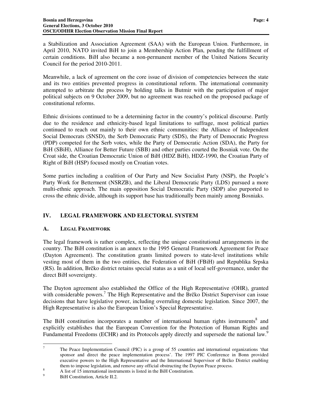Council for the period 2010-2011.

a Stabilization and Association Agreement (SAA) with the European Union. Furthermore, in April 2010, NATO invited BiH to join a Membership Action Plan, pending the fulfillment of certain conditions. BiH also became a non-permanent member of the United Nations Security

Meanwhile, a lack of agreement on the core issue of division of competencies between the state and its two entities prevented progress in constitutional reform. The international community attempted to arbitrate the process by holding talks in Butmir with the participation of major political subjects on 9 October 2009, but no agreement was reached on the proposed package of constitutional reforms.

Ethnic divisions continued to be a determining factor in the country's political discourse. Partly due to the residence and ethnicity-based legal limitations to suffrage, most political parties continued to reach out mainly to their own ethnic communities: the Alliance of Independent Social Democrats (SNSD), the Serb Democratic Party (SDS), the Party of Democratic Progress (PDP) competed for the Serb votes, while the Party of Democratic Action (SDA), the Party for BiH (SBiH), Alliance for Better Future (SBB) and other parties courted the Bosniak vote. On the Croat side, the Croatian Democratic Union of BiH (HDZ BiH), HDZ-1990, the Croatian Party of Right of BiH (HSP) focused mostly on Croatian votes.

Some parties including a coalition of Our Party and New Socialist Party (NSP), the People's Party Work for Betterment (NSRZB), and the Liberal Democratic Party (LDS) pursued a more multi-ethnic approach. The main opposition Social Democratic Party (SDP) also purported to cross the ethnic divide, although its support base has traditionally been mainly among Bosniaks.

## **IV. LEGAL FRAMEWORK AND ELECTORAL SYSTEM**

#### **A. LEGAL FRAMEWORK**

The legal framework is rather complex, reflecting the unique constitutional arrangements in the country. The BiH constitution is an annex to the 1995 General Framework Agreement for Peace (Dayton Agreement). The constitution grants limited powers to state-level institutions while vesting most of them in the two entities, the Federation of BiH (FBiH) and Republika Srpska (RS). In addition, Brčko district retains special status as a unit of local self-governance, under the direct BiH sovereignty.

The Dayton agreement also established the Office of the High Representative (OHR), granted with considerable powers.<sup>7</sup> The High Representative and the Brčko District Supervisor can issue decisions that have legislative power, including overruling domestic legislation. Since 2007, the High Representative is also the European Union's Special Representative.

The BiH constitution incorporates a number of international human rights instruments<sup>8</sup> and explicitly establishes that the European Convention for the Protection of Human Rights and Fundamental Freedoms (ECHR) and its Protocols apply directly and supersede the national law.<sup>9</sup>

<sup>-&</sup>lt;br>7 The Peace Implementation Council (PIC) is a group of 55 countries and international organizations 'that sponsor and direct the peace implementation process'. The 1997 PIC Conference in Bonn provided executive powers to the High Representative and the International Supervisor of Brčko District enabling them to impose legislation, and remove any official obstructing the Dayton Peace process.

<sup>8</sup> A list of 15 international instruments is listed in the BiH Constitution.

<sup>9</sup> BiH Constitution, Article II.2.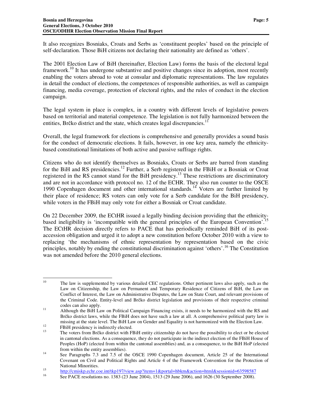It also recognizes Bosniaks, Croats and Serbs as 'constituent peoples' based on the principle of self-declaration. Those BiH citizens not declaring their nationality are defined as 'others'.

The 2001 Election Law of BiH (hereinafter, Election Law) forms the basis of the electoral legal framework.<sup>10</sup> It has undergone substantive and positive changes since its adoption, most recently enabling the voters abroad to vote at consular and diplomatic representations. The law regulates in detail the conduct of elections, the competences of responsible authorities, as well as campaign financing, media coverage, protection of electoral rights, and the rules of conduct in the election campaign.

The legal system in place is complex, in a country with different levels of legislative powers based on territorial and material competence. The legislation is not fully harmonized between the entities, Brčko district and the state, which creates legal discrepancies.<sup>11</sup>

Overall, the legal framework for elections is comprehensive and generally provides a sound basis for the conduct of democratic elections. It fails, however, in one key area, namely the ethnicitybased constitutional limitations of both active and passive suffrage rights.

Citizens who do not identify themselves as Bosniaks, Croats or Serbs are barred from standing for the BiH and RS presidencies.<sup>12</sup> Further, a Serb registered in the FBiH or a Bosniak or Croat registered in the RS cannot stand for the BiH presidency.<sup>13</sup> These restrictions are discriminatory and are not in accordance with protocol no. 12 of the ECHR. They also run counter to the OSCE 1990 Copenhagen document and other international standards.<sup>14</sup> Voters are further limited by their place of residence; RS voters can only vote for a Serb candidate for the BiH presidency, while voters in the FBiH may only vote for either a Bosniak or Croat candidate.

On 22 December 2009, the ECtHR issued a legally binding decision providing that the ethnicitybased ineligibility is 'incompatible with the general principles of the European Convention'.<sup>15</sup> The ECtHR decision directly refers to PACE that has periodically reminded BiH of its postaccession obligation and urged it to adopt a new constitution before October 2010 with a view to replacing 'the mechanisms of ethnic representation by representation based on the civic principles, notably by ending the constitutional discrimination against 'others'.<sup>16</sup> The Constitution was not amended before the 2010 general elections.

<sup>10</sup> The law is supplemented by various detailed CEC regulations. Other pertinent laws also apply, such as the Law on Citizenship, the Law on Permanent and Temporary Residence of Citizens of BiH, the Law on Conflict of Interest, the Law on Administrative Disputes, the Law on State Court, and relevant provisions of the Criminal Code. Entity-level and Brčko district legislation and provisions of their respective criminal codes can also apply.

<sup>&</sup>lt;sup>11</sup> Although the BiH Law on Political Campaign Financing exists, it needs to be harmonized with the RS and Brčko district laws, while the FBiH does not have such a law at all. A comprehensive political party law is missing at the state level. The BiH Law on Gender and Equality is not harmonized with the Election Law.

 $^{12}$  FBiH presidency is indirectly elected.

The voters from Brčko district with FBiH entity citizenship do not have the possibility to elect or be elected in cantonal elections. As a consequence, they do not participate in the indirect election of the FBiH House of Peoples (HoP) (elected from within the cantonal assemblies) and, as a consequence, to the BiH HoP (elected from within the entity assemblies).

<sup>&</sup>lt;sup>14</sup> See Paragraphs 7.3 and 7.5 of the OSCE 1990 Copenhagen document, Article 25 of the International Covenant on Civil and Political Rights and Article 4 of the Framework Convention for the Protection of National Minorities.

<sup>15</sup> <sup>15</sup><br>http://cmiskp.echr.coe.int/tkp197/view.asp?item=1&portal=hbkm&action=html&sessionid=63598587<br> $\frac{6}{5}$ 

See PACE resolutions no. 1383 (23 June 2004), 1513 (29 June 2006), and 1626 (30 September 2008).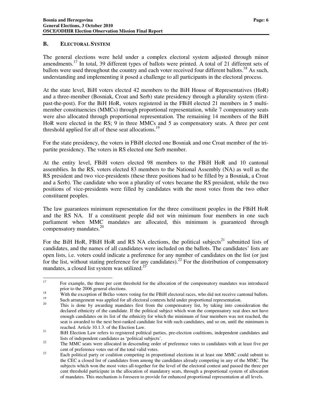#### **B. ELECTORAL SYSTEM**

The general elections were held under a complex electoral system adjusted through minor amendments.<sup>17</sup> In total, 39 different types of ballots were printed. A total of 21 different sets of ballots were used throughout the country and each voter received four different ballots.<sup>18</sup> As such, understanding and implementing it posed a challenge to all participants in the electoral process.

At the state level, BiH voters elected 42 members to the BiH House of Representatives (HoR) and a three-member (Bosniak, Croat and Serb) state presidency through a plurality system (firstpast-the-post). For the BiH HoR, voters registered in the FBiH elected 21 members in 5 multimember constituencies (MMCs) through proportional representation, while 7 compensatory seats were also allocated through proportional representation. The remaining 14 members of the BiH HoR were elected in the RS; 9 in three MMCs and 5 as compensatory seats. A three per cent threshold applied for all of these seat allocations.<sup>19</sup>

For the state presidency, the voters in FBiH elected one Bosniak and one Croat member of the tripartite presidency. The voters in RS elected one Serb member.

At the entity level, FBiH voters elected 98 members to the FBiH HoR and 10 cantonal assemblies. In the RS, voters elected 83 members to the National Assembly (NA) as well as the RS president and two vice-presidents (these three positions had to be filled by a Bosniak, a Croat and a Serb). The candidate who won a plurality of votes became the RS president, while the two positions of vice-presidents were filled by candidates with the most votes from the two other constituent peoples.

The law guarantees minimum representation for the three constituent peoples in the FBiH HoR and the RS NA. If a constituent people did not win minimum four members in one such parliament when MMC mandates are allocated, this minimum is guaranteed through compensatory mandates.<sup>20</sup>

For the BiH HoR, FBiH HoR and RS NA elections, the political subjects<sup>21</sup> submitted lists of candidates, and the names of all candidates were included on the ballots. The candidates' lists are open lists, i.e. voters could indicate a preference for any number of candidates on the list (or just for the list, without stating preference for any candidates).<sup>22</sup> For the distribution of compensatory mandates, a closed list system was utilized. $23$ 

<sup>17</sup> <sup>17</sup> For example, the three per cent threshold for the allocation of the compensatory mandates was introduced prior to the 2006 general elections.

<sup>&</sup>lt;sup>18</sup> With the exception of Brčko voters voting for the FBiH electoral races, who did not receive cantonal ballots. <sup>19</sup> Such arrangement was applied for all electoral contests held under proportional representation.

This is done by awarding mandates first from the compensatory list, by taking into consideration the declared ethnicity of the candidate. If the political subject which won the compensatory seat does not have enough candidates on its list of the ethnicity for which the minimum of four members was not reached, the seat is awarded to the next best-ranked candidate list with such candidates, and so on, until the minimum is reached. Article 10.1.3. of the Election Law.

<sup>&</sup>lt;sup>21</sup> BiH Election Law refers to registered political parties, pre-election coalitions, independent candidates and lists of independent candidates as 'political subjects'.

<sup>&</sup>lt;sup>22</sup> The MMC seats were allocated in descending order of preference votes to candidates with at least five per cent of preference votes out of the total valid votes.

<sup>&</sup>lt;sup>23</sup> Each political party or coalition competing in proportional elections in at least one MMC could submit to the CEC a closed list of candidates from among the candidates already competing in any of the MMC. The subjects which won the most votes all-together for the level of the electoral contest and passed the three per cent threshold participate in the allocation of mandatory seats, through a proportional system of allocation of mandates. This mechanism is foreseen to provide for enhanced proportional representation at all levels.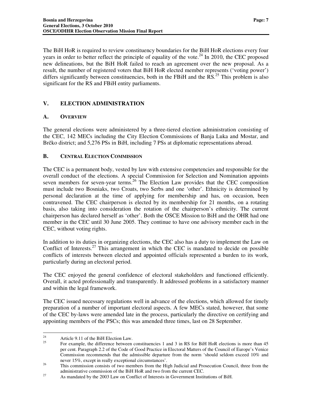The BiH HoR is required to review constituency boundaries for the BiH HoR elections every four years in order to better reflect the principle of equality of the vote.<sup>24</sup> In 2010, the CEC proposed new delineations, but the BiH HoR failed to reach an agreement over the new proposal. As a result, the number of registered voters that BiH HoR elected member represents ('voting power') differs significantly between constituencies, both in the FBiH and the  $\text{RS}^{25}$  This problem is also significant for the RS and FBiH entity parliaments.

## **V. ELECTION ADMINISTRATION**

#### **A. OVERVIEW**

The general elections were administered by a three-tiered election administration consisting of the CEC, 142 MECs including the City Election Commissions of Banja Luka and Mostar, and Brčko district; and 5,276 PSs in BiH, including 7 PSs at diplomatic representations abroad.

#### **B. CENTRAL ELECTION COMMISSION**

The CEC is a permanent body, vested by law with extensive competencies and responsible for the overall conduct of the elections. A special Commission for Selection and Nomination appoints seven members for seven-year terms.<sup>26</sup> The Election Law provides that the CEC composition must include two Bosniaks, two Croats, two Serbs and one 'other'. Ethnicity is determined by personal declaration at the time of applying for membership and has, on occasion, been contravened. The CEC chairperson is elected by its membership for 21 months, on a rotating basis, also taking into consideration the rotation of the chairperson's ethnicity. The current chairperson has declared herself as 'other'. Both the OSCE Mission to BiH and the OHR had one member in the CEC until 30 June 2005. They continue to have one advisory member each in the CEC, without voting rights.

In addition to its duties in organizing elections, the CEC also has a duty to implement the Law on Conflict of Interests.<sup>27</sup> This arrangement in which the CEC is mandated to decide on possible conflicts of interests between elected and appointed officials represented a burden to its work, particularly during an electoral period.

The CEC enjoyed the general confidence of electoral stakeholders and functioned efficiently. Overall, it acted professionally and transparently. It addressed problems in a satisfactory manner and within the legal framework.

The CEC issued necessary regulations well in advance of the elections, which allowed for timely preparation of a number of important electoral aspects. A few MECs stated, however, that some of the CEC by-laws were amended late in the process, particularly the directive on certifying and appointing members of the PSCs; this was amended three times, last on 28 September.

<sup>24</sup> <sup>24</sup> Article 9.11 of the BiH Election Law.

<sup>25</sup> For example, the difference between constituencies 1 and 3 in RS for BiH HoR elections is more than 45 per cent. Paragraph 2.2 of the Code of Good Practice in Electoral Matters of the Council of Europe's Venice Commission recommends that the admissible departure from the norm 'should seldom exceed 10% and never 15%, except in really exceptional circumstances'.

<sup>&</sup>lt;sup>26</sup> This commission consists of two members from the High Judicial and Prosecution Council, three from the administrative commission of the BiH HoR and two from the current CEC.

<sup>&</sup>lt;sup>27</sup> As mandated by the 2003 Law on Conflict of Interests in Government Institutions of BiH.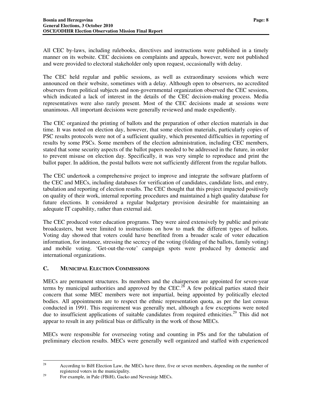All CEC by-laws, including rulebooks, directives and instructions were published in a timely manner on its website. CEC decisions on complaints and appeals, however, were not published and were provided to electoral stakeholder only upon request, occasionally with delay.

The CEC held regular and public sessions, as well as extraordinary sessions which were announced on their website, sometimes with a delay. Although open to observers, no accredited observers from political subjects and non-governmental organization observed the CEC sessions, which indicated a lack of interest in the details of the CEC decision-making process. Media representatives were also rarely present. Most of the CEC decisions made at sessions were unanimous. All important decisions were generally reviewed and made expediently.

The CEC organized the printing of ballots and the preparation of other election materials in due time. It was noted on election day, however, that some election materials, particularly copies of PSC results protocols were not of a sufficient quality, which presented difficulties in reporting of results by some PSCs. Some members of the election administration, including CEC members, stated that some security aspects of the ballot papers needed to be addressed in the future, in order to prevent misuse on election day. Specifically, it was very simple to reproduce and print the ballot paper. In addition, the postal ballots were not sufficiently different from the regular ballots.

The CEC undertook a comprehensive project to improve and integrate the software platform of the CEC and MECs, including databases for verification of candidates, candidate lists, and entry, tabulation and reporting of election results. The CEC thought that this project impacted positively on quality of their work, internal reporting procedures and maintained a high quality database for future elections. It considered a regular budgetary provision desirable for maintaining an adequate IT capability, rather than external aid.

The CEC produced voter education programs. They were aired extensively by public and private broadcasters, but were limited to instructions on how to mark the different types of ballots. Voting day showed that voters could have benefited from a broader scale of voter education information, for instance, stressing the secrecy of the voting (folding of the ballots, family voting) and mobile voting. 'Get-out-the-vote' campaign spots were produced by domestic and international organizations.

## **C. MUNICIPAL ELECTION COMMISSIONS**

MECs are permanent structures. Its members and the chairperson are appointed for seven-year terms by municipal authorities and approved by the CEC.<sup>28</sup> A few political parties stated their concern that some MEC members were not impartial, being appointed by politically elected bodies. All appointments are to respect the ethnic representation quota, as per the last census conducted in 1991. This requirement was generally met, although a few exceptions were noted due to insufficient applications of suitable candidates from required ethnicities.<sup>29</sup> This did not appear to result in any political bias or difficulty in the work of those MECs.

MECs were responsible for overseeing voting and counting in PSs and for the tabulation of preliminary election results. MECs were generally well organized and staffed with experienced

<sup>28</sup> According to BiH Election Law, the MECs have three, five or seven members, depending on the number of registered voters in the municipality.

<sup>&</sup>lt;sup>29</sup> For example, in Pale (FBiH), Gacko and Nevesinje MECs.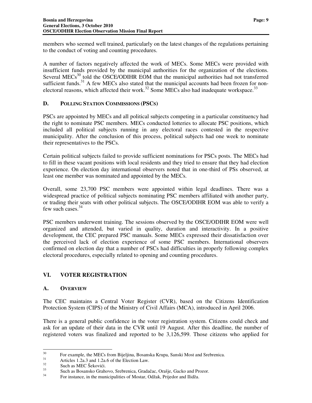members who seemed well trained, particularly on the latest changes of the regulations pertaining to the conduct of voting and counting procedures.

A number of factors negatively affected the work of MECs. Some MECs were provided with insufficient funds provided by the municipal authorities for the organization of the elections. Several MECs<sup>30</sup> told the OSCE/ODIHR EOM that the municipal authorities had not transferred sufficient funds.<sup>31</sup> A few MECs also stated that the municipal accounts had been frozen for nonelectoral reasons, which affected their work.<sup>32</sup> Some MECs also had inadequate workspace.<sup>33</sup>

## **D. POLLING STATION COMMISSIONS (PSCS)**

PSCs are appointed by MECs and all political subjects competing in a particular constituency had the right to nominate PSC members. MECs conducted lotteries to allocate PSC positions, which included all political subjects running in any electoral races contested in the respective municipality. After the conclusion of this process, political subjects had one week to nominate their representatives to the PSCs.

Certain political subjects failed to provide sufficient nominations for PSCs posts. The MECs had to fill in these vacant positions with local residents and they tried to ensure that they had election experience. On election day international observers noted that in one-third of PSs observed, at least one member was nominated and appointed by the MECs.

Overall, some 23,700 PSC members were appointed within legal deadlines. There was a widespread practice of political subjects nominating PSC members affiliated with another party, or trading their seats with other political subjects. The OSCE/ODIHR EOM was able to verify a few such cases.<sup>34</sup>

PSC members underwent training. The sessions observed by the OSCE/ODIHR EOM were well organized and attended, but varied in quality, duration and interactivity. In a positive development, the CEC prepared PSC manuals. Some MECs expressed their dissatisfaction over the perceived lack of election experience of some PSC members. International observers confirmed on election day that a number of PSCs had difficulties in properly following complex electoral procedures, especially related to opening and counting procedures.

## **VI. VOTER REGISTRATION**

#### **A. OVERVIEW**

The CEC maintains a Central Voter Register (CVR), based on the Citizens Identification Protection System (CIPS) of the Ministry of Civil Affairs (MCA), introduced in April 2006.

There is a general public confidence in the voter registration system. Citizens could check and ask for an update of their data in the CVR until 19 August. After this deadline, the number of registered voters was finalized and reported to be 3,126,599. Those citizens who applied for

 $30\,$ <sup>30</sup> For example, the MECs from Bijeljina, Bosanska Krupa, Sanski Most and Srebrenica.

 $31$  Articles 1.2a.3 and 1.2a.6 of the Election Law.

 $32 \text{ Such as MEC}$  Šekovići.

 $\frac{33}{34}$  Such as Bosansko Grahovo, Srebrenica, Gradačac, Orašje, Gacko and Prozor.

<sup>34</sup> For instance, in the municipalities of Mostar, Odžak, Prijedor and Ilidža.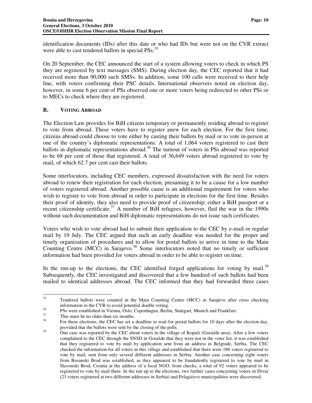identification documents (IDs) after this date or who had IDs but were not on the CVR extract were able to cast tendered ballots in special PSs.<sup>35</sup>

On 20 September, the CEC announced the start of a system allowing voters to check in which PS they are registered by text messages (SMS). During election day, the CEC reported that it had received more than 90,000 such SMSs. In addition, some 100 calls were received to their help line, with voters confirming their PSC details. International observers noted on election day, however, in some 6 per cent of PSs observed one or more voters being redirected to other PSs or to MECs to check where they are registered.

#### **B. VOTING ABROAD**

The Election Law provides for BiH citizens temporary or permanently residing abroad to register to vote from abroad. These voters have to register anew for each election. For the first time, citizens abroad could choose to vote either by casting their ballots by mail or to vote in-person at one of the country's diplomatic representations. A total of 1,064 voters registered to cast their ballots in diplomatic representations abroad.<sup>36</sup> The turnout of voters in PSs abroad was reported to be 68 per cent of those that registered. A total of 36,649 voters abroad registered to vote by mail, of which 62.7 per cent cast their ballots.

Some interlocutors, including CEC members, expressed dissatisfaction with the need for voters abroad to renew their registration for each election, presuming it to be a cause for a low number of voters registered abroad. Another possible cause is an additional requirement for voters who wish to register to vote from abroad in order to participate in elections for the first time. Besides their proof of identity, they also need to provide proof of citizenship; either a BiH passport or a recent citizenship certificate.<sup>37</sup> A number of BiH refugees, however, fled the war in the 1990s without such documentation and BiH diplomatic representations do not issue such certificates.

Voters who wish to vote abroad had to submit their application to the CEC by e-mail or regular mail by 19 July. The CEC argued that such an early deadline was needed for the proper and timely organization of procedures and to allow for postal ballots to arrive in time to the Main Counting Centre (MCC) in Sarajevo.<sup>38</sup> Some interlocutors noted that no timely or sufficient information had been provided for voters abroad in order to be able to register on time.

In the run-up to the elections, the CEC identified forged applications for voting by mail.<sup>39</sup> Subsequently, the CEC investigated and discovered that a few hundred of such ballots had been mailed to identical addresses abroad. The CEC informed that they had forwarded three cases

<sup>35</sup> Tendered ballots were counted in the Main Counting Centre (MCC) in Sarajevo after cross checking information in the CVR to avoid potential double voting.

<sup>&</sup>lt;sup>36</sup> PSs were established in Vienna, Oslo, Copenhagen, Berlin, Stuttgart, Munich and Frankfurt.

 $\frac{37}{38}$  This must be no older than six months.

<sup>38</sup> For these elections, the CEC has set a deadline to wait for postal ballots for 10 days after the election day, provided that the ballots were sent by the closing of the polls.

<sup>&</sup>lt;sup>39</sup> One case was reported by the CEC about voters in the village of Kopači (Goražde area). After a few voters complained to the CEC through the SNSD in Goražde that they were not in the voter list, it was established that they registered to vote by mail by application sent from an address in Belgrade, Serbia. The CEC checked the information for all voters in this village and established that there were 186 voters registered to vote by mail, sent from only several different addresses in Serbia. Another case concerning eight voters from Bosanski Brod was established, as they appeared to be fraudulently registered to vote by mail in Slavonski Brod, Croatia at the address of a local NGO. from checks, a total of 92 voters appeared to be registered to vote by mail there. In the run up to the elections, two further cases concerning voters in Drvar (23 voters registered at two different addresses in Serbia) and Pelagićevo municipalities were discovered.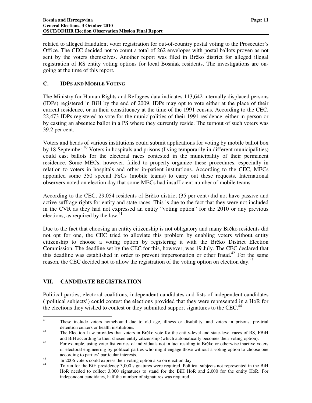related to alleged fraudulent voter registration for out-of-country postal voting to the Prosecutor's Office. The CEC decided not to count a total of 262 envelopes with postal ballots proven as not sent by the voters themselves. Another report was filed in Brčko district for alleged illegal registration of RS entity voting options for local Bosniak residents. The investigations are ongoing at the time of this report.

### **C. IDPS AND MOBILE VOTING**

The Ministry for Human Rights and Refugees data indicates 113,642 internally displaced persons (IDPs) registered in BiH by the end of 2009. IDPs may opt to vote either at the place of their current residence, or in their constituency at the time of the 1991 census. According to the CEC, 22,473 IDPs registered to vote for the municipalities of their 1991 residence, either in person or by casting an absentee ballot in a PS where they currently reside. The turnout of such voters was 39.2 per cent.

Voters and heads of various institutions could submit applications for voting by mobile ballot box by 18 September.<sup>40</sup> Voters in hospitals and prisons (living temporarily in different municipalities) could cast ballots for the electoral races contested in the municipality of their permanent residence. Some MECs, however, failed to properly organize these procedures, especially in relation to voters in hospitals and other in-patient institutions. According to the CEC, MECs appointed some 350 special PSCs (mobile teams) to carry out these requests. International observers noted on election day that some MECs had insufficient number of mobile teams.

According to the CEC, 29,054 residents of Brčko district (35 per cent) did not have passive and active suffrage rights for entity and state races. This is due to the fact that they were not included in the CVR as they had not expressed an entity "voting option" for the 2010 or any previous elections, as required by the law. $41$ 

Due to the fact that choosing an entity citizenship is not obligatory and many Brčko residents did not opt for one, the CEC tried to alleviate this problem by enabling voters without entity citizenship to choose a voting option by registering it with the Brčko District Election Commission. The deadline set by the CEC for this, however, was 19 July. The CEC declared that this deadline was established in order to prevent impersonation or other fraud.<sup>42</sup> For the same reason, the CEC decided not to allow the registration of the voting option on election day.<sup>43</sup>

#### **VII. CANDIDATE REGISTRATION**

-

Political parties, electoral coalitions, independent candidates and lists of independent candidates ('political subjects') could contest the elections provided that they were represented in a HoR for the elections they wished to contest or they submitted support signatures to the CEC.<sup>44</sup>

<sup>&</sup>lt;sup>40</sup> These include voters homebound due to old age, illness or disability, and voters in prisons, pre-trial detention centers or health institutions.

<sup>&</sup>lt;sup>41</sup> The Election Law provides that voters in Brčko vote for the entity-level and state-level races of RS, FBiH and BiH according to their chosen entity citizenship (which automatically becomes their voting option).

<sup>&</sup>lt;sup>42</sup> For example, using voter list entries of individuals not in fact residing in Brčko or otherwise inactive voters or electoral engineering by political parties who might engage those without a voting option to choose one according to parties' particular interests.

<sup>&</sup>lt;sup>43</sup> In 2006 voters could express their voting option also on election day.

To run for the BiH presidency 3,000 signatures were required. Political subjects not represented in the BiH HoR needed to collect 3,000 signatures to stand for the BiH HoR and 2,000 for the entity HoR. For independent candidates, half the number of signatures was required.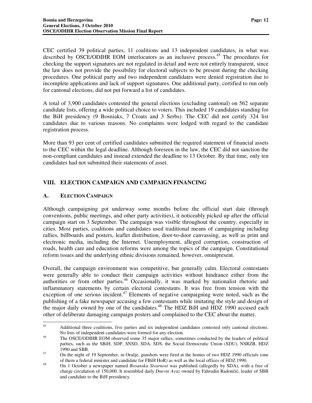CEC certified 39 political parties, 11 coalitions and 13 independent candidates, in what was described by OSCE/ODIHR EOM interlocutors as an inclusive process.<sup>45</sup> The procedures for checking the support signatures are not regulated in detail and were not entirely transparent, since the law does not provide the possibility for electoral subjects to be present during the checking procedures. One political party and two independent candidates were denied registration due to incomplete applications and lack of support signatures. One additional party, certified to run only for cantonal elections, did not put forward a list of candidates.

A total of 3,900 candidates contested the general elections (excluding cantonal) on 562 separate candidate lists, offering a wide political choice to voters. This included 19 candidates standing for the BiH presidency (9 Bosniaks, 7 Croats and 3 Serbs). The CEC did not certify 324 list candidates due to various reasons. No complaints were lodged with regard to the candidate registration process.

More than 93 per cent of certified candidates submitted the required statement of financial assets to the CEC within the legal deadline. Although foreseen in the law, the CEC did not sanction the non-compliant candidates and instead extended the deadline to 13 October. By that time, only ten candidates had not submitted their statements of asset.

## **VIII. ELECTION CAMPAIGN AND CAMPAIGN FINANCING**

## **A. ELECTION CAMPAIGN**

Although campaigning got underway some months before the official start date (through conventions, public meetings, and other party activities), it noticeably picked up after the official campaign start on 3 September. The campaign was visible throughout the country, especially in cities. Most parties, coalitions and candidates used traditional means of campaigning including rallies, billboards and posters, leaflet distribution, door-to-door canvassing, as well as print and electronic media, including the Internet. Unemployment, alleged corruption, construction of roads, health care and education reforms were among the topics of the campaign. Constitutional reform issues and the underlying ethnic divisions remained, however, omnipresent.

Overall, the campaign environment was competitive, but generally calm. Electoral contestants were generally able to conduct their campaign activities without hindrance either from the authorities or from other parties.<sup>46</sup> Occasionally, it was marked by nationalist rhetoric and inflammatory statements by certain electoral contestants. It was free from tension with the exception of one serious incident.<sup>47</sup> Elements of negative campaigning were noted, such as the publishing of a fake newspaper accusing a few contestants while imitating the style and design of the major daily owned by one of the candidates.<sup>48</sup> The HDZ BiH and HDZ 1990 accused each other of deliberate damaging campaign posters and complained to the CEC about the matter.

 $45$ Additional three coalitions, five parties and six independent candidates contested only cantonal elections. No lists of independent candidates were formed for any election.

<sup>&</sup>lt;sup>46</sup> The OSCE/ODIHR EOM observed some 35 major rallies, sometimes conducted by the leaders of political parties, such as the SBiH, SDP, SNSD, SDA, SDS, the Social Democratic Union (SDU), NSRZB, HDZ 1990 and SBB.

<sup>&</sup>lt;sup>47</sup> On the night of 19 September, in Orašje, gunshots were fired at the homes of two HDZ 1990 officials (one of them a federal minister and candidate for FBiH HoR) as well as the local offices of HDZ 1990.

<sup>48</sup> On 1 October a newspaper named *Bosanska Stvarnost* was published (allegedly by SDA), with a free of charge circulation of 150,000. It resembled daily *Dnevni Avaz* owned by Fahrudin Radončić, leader of SBB and candidate to the BiH presidency.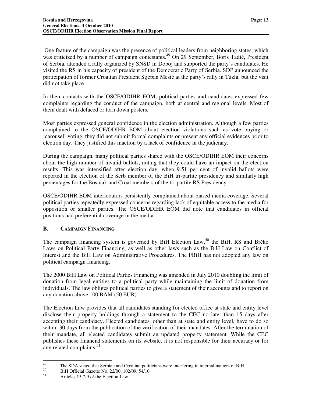One feature of the campaign was the presence of political leaders from neighboring states, which was criticized by a number of campaign contestants.<sup>49</sup> On 29 September, Boris Tadić, President of Serbia, attended a rally organized by SNSD in Doboj and supported the party's candidates. He visited the RS in his capacity of president of the Democratic Party of Serbia. SDP announced the participation of former Croatian President Stjepan Mesić at the party's rally in Tuzla, but the visit did not take place.

In their contacts with the OSCE/ODIHR EOM, political parties and candidates expressed few complaints regarding the conduct of the campaign, both at central and regional levels. Most of them dealt with defaced or torn down posters.

Most parties expressed general confidence in the election administration. Although a few parties complained to the OSCE/ODIHR EOM about election violations such as vote buying or 'carousel' voting, they did not submit formal complaints or present any official evidences prior to election day. They justified this inaction by a lack of confidence in the judiciary.

During the campaign, many political parties shared with the OSCE/ODIHR EOM their concerns about the high number of invalid ballots, noting that they could have an impact on the election results. This was intensified after election day, when 9.51 per cent of invalid ballots were reported in the election of the Serb member of the BiH tri-partite presidency and similarly high percentages for the Bosniak and Croat members of the tri-partite RS Presidency.

OSCE/ODIHR EOM interlocutors persistently complained about biased media coverage. Several political parties repeatedly expressed concerns regarding lack of equitable access to the media for opposition or smaller parties. The OSCE/ODIHR EOM did note that candidates in official positions had preferential coverage in the media.

#### **B. CAMPAIGN FINANCING**

The campaign financing system is governed by BiH Election Law,<sup>50</sup> the BiH, RS and Brčko Laws on Political Party Financing, as well as other laws such as the BiH Law on Conflict of Interest and the BiH Law on Administrative Procedures. The FBiH has not adopted any law on political campaign financing.

The 2000 BiH Law on Political Parties Financing was amended in July 2010 doubling the limit of donation from legal entities to a political party while maintaining the limit of donation from individuals. The law obliges political parties to give a statement of their accounts and to report on any donation above 100 BAM (50 EUR).

The Election Law provides that all candidates standing for elected office at state and entity level disclose their property holdings through a statement to the CEC no later than 15 days after accepting their candidacy. Elected candidates, other than at state and entity level, have to do so within 30 days from the publication of the verification of their mandates. After the termination of their mandate, all elected candidates submit an updated property statement. While the CEC publishes these financial statements on its website, it is not responsible for their accuracy or for any related complaints.<sup>51</sup>

<sup>49</sup> <sup>49</sup> The SDA stated that Serbian and Croatian politicians were interfering in internal matters of BiH.<br><sup>50</sup> PiH Official Gazatta No. 22/00, 102/00, 54/10.

 $^{50}$  BiH Official Gazette No. 22/00, 102/09, 54/10.

Articles 15.7-9 of the Election Law.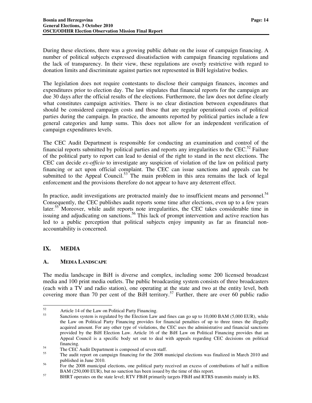During these elections, there was a growing public debate on the issue of campaign financing. A number of political subjects expressed dissatisfaction with campaign financing regulations and the lack of transparency. In their view, these regulations are overly restrictive with regard to donation limits and discriminate against parties not represented in BiH legislative bodies.

The legislation does not require contestants to disclose their campaign finances, incomes and expenditures prior to election day. The law stipulates that financial reports for the campaign are due 30 days after the official results of the elections. Furthermore, the law does not define clearly what constitutes campaign activities. There is no clear distinction between expenditures that should be considered campaign costs and those that are regular operational costs of political parties during the campaign. In practice, the amounts reported by political parties include a few general categories and lump sums. This does not allow for an independent verification of campaign expenditures levels.

The CEC Audit Department is responsible for conducting an examination and control of the financial reports submitted by political parties and reports any irregularities to the CEC.<sup>52</sup> Failure of the political party to report can lead to denial of the right to stand in the next elections. The CEC can decide *ex-officio* to investigate any suspicion of violation of the law on political party financing or act upon official complaint. The CEC can issue sanctions and appeals can be submitted to the Appeal Council.<sup>53</sup> The main problem in this area remains the lack of legal enforcement and the provisions therefore do not appear to have any deterrent effect.

In practice, audit investigations are protracted mainly due to insufficient means and personnel. $54$ Consequently, the CEC publishes audit reports some time after elections, even up to a few years later.<sup>55</sup> Moreover, while audit reports note irregularities, the CEC takes considerable time in issuing and adjudicating on sanctions.<sup>56</sup> This lack of prompt intervention and active reaction has led to a public perception that political subjects enjoy impunity as far as financial nonaccountability is concerned.

#### **IX. MEDIA**

#### **A. MEDIA LANDSCAPE**

The media landscape in BiH is diverse and complex, including some 200 licensed broadcast media and 100 print media outlets. The public broadcasting system consists of three broadcasters (each with a TV and radio station), one operating at the state and two at the entity level, both covering more than 70 per cent of the BiH territory. <sup>57</sup> Further, there are over 60 public radio

<sup>52</sup>  $52$  Article 14 of the Law on Political Party Financing.

Sanctions system is regulated by the Election Law and fines can go up to 10,000 BAM (5,000 EUR), while the Law on Political Party Financing provides for financial penalties of up to three times the illegally acquired amount. For any other type of violations, the CEC uses the administrative and financial sanctions provided by the BiH Election Law. Article 16 of the BiH Law on Political Financing provides that an Appeal Council is a specific body set out to deal with appeals regarding CEC decisions on political financing.

 $^{54}$  The CEC Audit Department is composed of seven staff.<br> $^{55}$ 

The audit report on campaign financing for the 2008 municipal elections was finalized in March 2010 and published in June 2010.

<sup>&</sup>lt;sup>56</sup> For the 2008 municipal elections, one political party received an excess of contributions of half a million BAM (250,000 EUR), but no sanction has been issued by the time of this report.

<sup>&</sup>lt;sup>57</sup> BHRT operates on the state level; RTV FBiH primarily targets FBiH and RTRS transmits mainly in RS.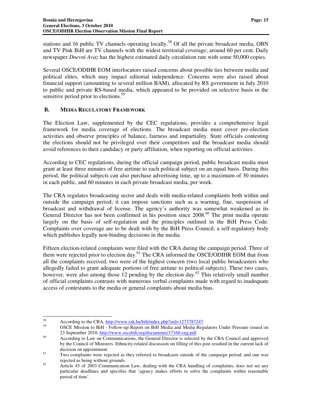stations and 16 public TV channels operating locally.<sup>58</sup> Of all the private broadcast media, OBN and TV Pink BiH are TV channels with the widest territorial coverage; around 60 per cent. Daily newspaper *Dnevni Avaz* has the highest estimated daily circulation rate with some 50,000 copies.

Several OSCE/ODIHR EOM interlocutors raised concerns about possible ties between media and political elites, which may impact editorial independence. Concerns were also raised about financial support (amounting to several million BAM), allocated by RS government in July 2010 to public and private RS-based media, which appeared to be provided on selective basis in the sensitive period prior to elections.<sup>59</sup>

#### **B. MEDIA REGULATORY FRAMEWORK**

The Election Law, supplemented by the CEC regulations, provides a comprehensive legal framework for media coverage of elections. The broadcast media must cover pre-election activities and observe principles of balance, fairness and impartiality. State officials contesting the elections should not be privileged over their competitors and the broadcast media should avoid references to their candidacy or party affiliation, when reporting on official activities.

According to CEC regulations, during the official campaign period, public broadcast media must grant at least three minutes of free airtime to each political subject on an equal basis. During this period, the political subjects can also purchase advertising time, up to a maximum of 30 minutes in each public, and 60 minutes in each private broadcast media, per week.

The CRA regulates broadcasting sector and deals with media-related complaints both within and outside the campaign period; it can impose sanctions such as a warning, fine, suspension of broadcast and withdrawal of license. The agency's authority was somewhat weakened as its General Director has not been confirmed in his position since 2008.<sup>60</sup> The print media operate largely on the basis of self-regulation and the principles outlined in the BiH Press Code. Complaints over coverage are to be dealt with by the BiH Press Council, a self-regulatory body which publishes legally non-binding decisions in the media.

Fifteen election-related complaints were filed with the CRA during the campaign period. Three of them were rejected prior to election day.<sup>61</sup> The CRA informed the OSCE/ODIHR EOM that from all the complaints received, two were of the highest concern (two local public broadcasters who allegedly failed to grant adequate portions of free airtime to political subjects). These two cases, however, were also among those 12 pending by the election day.<sup>62</sup> This relatively small number of official complaints contrasts with numerous verbal complaints made with regard to inadequate access of contestants to the media or general complaints about media bias.

-

<sup>&</sup>lt;sup>58</sup> According to the CRA,  $\frac{http://www.rak.ba/bih/index.php?uid=1273787247}{http://www.rak.ba/bih/index.php?uid=1273787247}.$ 

<sup>59</sup> OSCE Mission to BiH - Follow-up Report on BiH Media and Media Regulators Under Pressure issued on 23 September 2010, http://www.oscebih.org/documents/17160-eng.pdf.

<sup>&</sup>lt;sup>60</sup> According to Law on Communications, the General Director is selected by the CRA Council and approved by the Council of Ministers. Ethnicity-related discussion on filling of this post resulted in the current lack of decision on appointment.

<sup>&</sup>lt;sup>61</sup> Two complaints were rejected as they referred to broadcasts outside of the campaign period, and one was rejected as being without grounds.

<sup>&</sup>lt;sup>62</sup> Article 45 of 2003 Communication Law, dealing with the CRA handling of complaints, does not set any particular deadlines and specifies that 'agency makes efforts to solve the complaints within reasonable period of time'.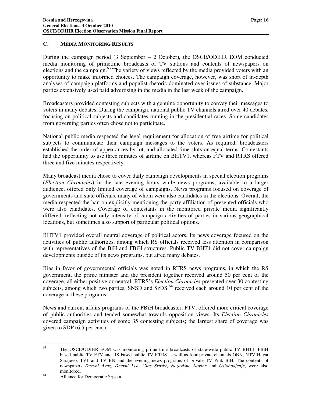#### **C. MEDIA MONITORING RESULTS**

During the campaign period (3 September – 2 October), the OSCE/ODIHR EOM conducted media monitoring of primetime broadcasts of TV stations and contents of newspapers on elections and the campaign.<sup>63</sup> The variety of views reflected by the media provided voters with an opportunity to make informed choices. The campaign coverage, however, was short of in-depth analyses of campaign platforms and populist rhetoric dominated over issues of substance. Major parties extensively used paid advertising in the media in the last week of the campaign.

Broadcasters provided contesting subjects with a genuine opportunity to convey their messages to voters in many debates. During the campaign, national public TV channels aired over 40 debates, focusing on political subjects and candidates running in the presidential races. Some candidates from governing parties often chose not to participate.

National public media respected the legal requirement for allocation of free airtime for political subjects to communicate their campaign messages to the voters. As required, broadcasters established the order of appearances by lot, and allocated time slots on equal terms. Contestants had the opportunity to use three minutes of airtime on BHTV1, whereas FTV and RTRS offered three and five minutes respectively.

Many broadcast media chose to cover daily campaign developments in special election programs (*Election Chronicles*) in the late evening hours while news programs, available to a larger audience, offered only limited coverage of campaigns. News programs focused on coverage of governments and state officials, many of whom were also candidates in the elections. Overall, the media respected the ban on explicitly mentioning the party affiliation of presented officials who were also candidates. Coverage of contestants in the monitored private media significantly differed, reflecting not only intensity of campaign activities of parties in various geographical locations, but sometimes also support of particular political options.

BHTV1 provided overall neutral coverage of political actors. Its news coverage focused on the activities of public authorities, among which RS officials received less attention in comparison with representatives of the BiH and FBiH structures. Public TV BHT1 did not cover campaign developments outside of its news programs, but aired many debates.

Bias in favor of governmental officials was noted in RTRS news programs, in which the RS government, the prime minister and the president together received around 50 per cent of the coverage, all either positive or neutral. RTRS's *Election Chronicles* presented over 30 contesting subjects, among which two parties, SNSD and SzDS,  $64$  received each around 10 per cent of the coverage in these programs.

News and current affairs programs of the FBiH broadcaster, FTV, offered more critical coverage of public authorities and tended somewhat towards opposition views. Its *Election Chronicles* covered campaign activities of some 35 contesting subjects; the largest share of coverage was given to SDP (6.5 per cent).

<sup>63</sup> The OSCE/ODIHR EOM was monitoring prime time broadcasts of state-wide public TV BHT1, FBiH based public TV FTV and RS based public TV RTRS as well as four private channels OBN, NTV Hayat Sarajevo, TV1 and TV BN and the evening news programs of private TV Pink BiH. The contents of newspapers *Dnevni Avaz*, *Dnevni List, Glas Srpske, Nezavisne Novine* and *Oslobodjenje*, were also monitored.

<sup>64</sup> Alliance for Democratic Srpska.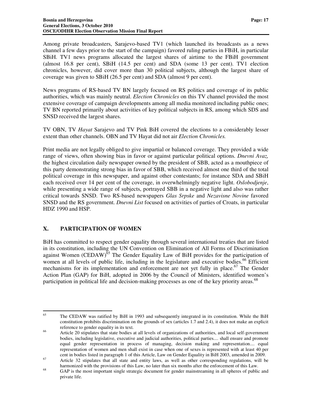Among private broadcasters, Sarajevo-based TV1 (which launched its broadcasts as a news channel a few days prior to the start of the campaign) favored ruling parties in FBiH, in particular SBiH. TV1 news programs allocated the largest shares of airtime to the FBiH government (almost 16.8 per cent), SBiH (14.5 per cent) and SDA (some 13 per cent). TV1 election chronicles, however, did cover more than 30 political subjects, although the largest share of coverage was given to SBiH (26.5 per cent) and SDA (almost 9 per cent).

News programs of RS-based TV BN largely focused on RS politics and coverage of its public authorities, which was mainly neutral. *Election Chronicles* on this TV channel provided the most extensive coverage of campaign developments among all media monitored including public ones; TV BN reported primarily about activities of key political subjects in RS, among which SDS and SNSD received the largest shares.

TV OBN, TV *Hayat* Sarajevo and TV Pink BiH covered the elections to a considerably lesser extent than other channels. OBN and TV Hayat did not air *Election Chronicles.*

Print media are not legally obliged to give impartial or balanced coverage. They provided a wide range of views, often showing bias in favor or against particular political options. *Dnevni Avaz,*  the highest circulation daily newspaper owned by the president of SBB, acted as a mouthpiece of this party demonstrating strong bias in favor of SBB, which received almost one third of the total political coverage in this newspaper, and against other contestants; for instance SDA and SBiH each received over 14 per cent of the coverage, in overwhelmingly negative light. *Oslobodjenje*, while presenting a wide range of subjects, portrayed SBB in a negative light and also was rather critical towards SNSD. Two RS-based newspapers *Glas Srpske* and *Nezavisne Novine* favored SNSD and the RS government. *Dnevni List* focused on activities of parties of Croats, in particular HDZ 1990 and HSP.

#### **X. PARTICIPATION OF WOMEN**

BiH has committed to respect gender equality through several international treaties that are listed in its constitution, including the UN Convention on Elimination of All Forms of Discrimination against Women (CEDAW)<sup> $\delta$ 5</sup> The Gender Equality Law of BiH provides for the participation of women at all levels of public life, including in the legislature and executive bodies.<sup>66</sup> Efficient mechanisms for its implementation and enforcement are not yet fully in place.<sup>67</sup> The Gender Action Plan (GAP) for BiH, adopted in 2006 by the Council of Ministers, identified women's participation in political life and decision-making processes as one of the key priority areas.<sup>68</sup>

<sup>65</sup> The CEDAW was ratified by BiH in 1993 and subsequently integrated in its constitution. While the BiH constitution prohibits discrimination on the grounds of sex (articles 1.7 and 2.4), it does not make an explicit reference to gender equality in its text.

<sup>&</sup>lt;sup>66</sup> Article 20 stipulates that state bodies at all levels of organizations of authorities, and local self-government bodies, including legislative, executive and judicial authorities, political parties.... shall ensure and promote equal gender representation in process of managing, decision making and representation.... equal representation of women and men shall exist in case when one of sexes is represented with at least 40 per cent in bodies listed in paragraph 1 of this Article, Law on Gender Equality in BiH 2003, amended in 2009.

<sup>&</sup>lt;sup>67</sup> Article 32 stipulates that all state and entity laws, as well as other corresponding regulations, will be harmonized with the provisions of this Law, no later than six months after the enforcement of this Law.

<sup>68</sup> GAP is the most important single strategic document for gender mainstreaming in all spheres of public and private life.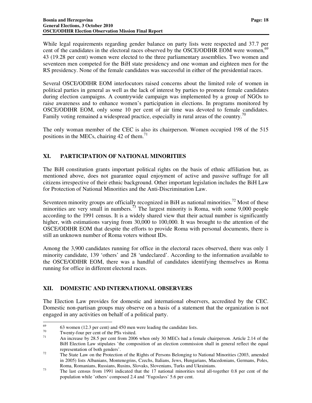While legal requirements regarding gender balance on party lists were respected and 37.7 per cent of the candidates in the electoral races observed by the OSCE/ODIHR EOM were women,<sup>69</sup> 43 (19.28 per cent) women were elected to the three parliamentary assemblies. Two women and seventeen men competed for the BiH state presidency and one woman and eighteen men for the RS presidency. None of the female candidates was successful in either of the presidential races.

Several OSCE/ODIHR EOM interlocutors raised concerns about the limited role of women in political parties in general as well as the lack of interest by parties to promote female candidates during election campaigns. A countrywide campaign was implemented by a group of NGOs to raise awareness and to enhance women's participation in elections. In programs monitored by OSCE/ODIHR EOM, only some 10 per cent of air time was devoted to female candidates. Family voting remained a widespread practice, especially in rural areas of the country.<sup>70</sup>

The only woman member of the CEC is also its chairperson. Women occupied 198 of the 515 positions in the MECs, chairing 42 of them.<sup>71</sup>

## **XI. PARTICIPATION OF NATIONAL MINORITIES**

The BiH constitution grants important political rights on the basis of ethnic affiliation but, as mentioned above, does not guarantee equal enjoyment of active and passive suffrage for all citizens irrespective of their ethnic background. Other important legislation includes the BiH Law for Protection of National Minorities and the Anti-Discrimination Law.

Seventeen minority groups are officially recognized in BiH as national minorities.<sup>72</sup> Most of these minorities are very small in numbers.<sup> $\frac{73}{1}$ </sup> The largest minority is Roma, with some 9,000 people according to the 1991 census. It is a widely shared view that their actual number is significantly higher, with estimations varying from 30,000 to 100,000. It was brought to the attention of the OSCE/ODIHR EOM that despite the efforts to provide Roma with personal documents, there is still an unknown number of Roma voters without IDs.

Among the 3,900 candidates running for office in the electoral races observed, there was only 1 minority candidate, 139 'others' and 28 'undeclared'. According to the information available to the OSCE/ODIHR EOM, there was a handful of candidates identifying themselves as Roma running for office in different electoral races.

#### **XII. DOMESTIC AND INTERNATIONAL OBSERVERS**

The Election Law provides for domestic and international observers, accredited by the CEC. Domestic non-partisan groups may observe on a basis of a statement that the organization is not engaged in any activities on behalf of a political party.

<sup>69</sup>  $^{69}$  63 women (12.3 per cent) and 450 men were leading the candidate lists.

 $^{70}$  Twenty-four per cent of the PSs visited.<br> $^{71}$  An increase by 28.5 per sent from 2006

An increase by 28.5 per cent from 2006 when only 30 MECs had a female chairperson. Article 2.14 of the BiH Election Law stipulates 'the composition of an election commission shall in general reflect the equal representation of both genders'.

<sup>&</sup>lt;sup>72</sup> The State Law on the Protection of the Rights of Persons Belonging to National Minorities (2003, amended in 2005) lists Albanians, Montenegrins, Czechs, Italians, Jews, Hungarians, Macedonians, Germans, Poles, Roma, Romanians, Russians, Rusins, Slovaks, Slovenians, Turks and Ukrainians.

<sup>&</sup>lt;sup>73</sup> The last census from 1991 indicated that the 17 national minorities total all-together 0.8 per cent of the population while 'others' composed 2.4 and 'Yugoslavs' 5.6 per cent.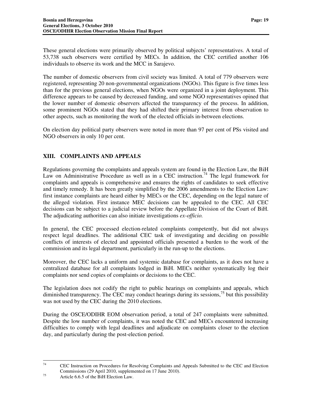These general elections were primarily observed by political subjects' representatives. A total of 53,738 such observers were certified by MECs. In addition, the CEC certified another 106 individuals to observe its work and the MCC in Sarajevo.

The number of domestic observers from civil society was limited. A total of 779 observers were registered, representing 20 non-governmental organizations (NGOs). This figure is five times less than for the previous general elections, when NGOs were organized in a joint deployment. This difference appears to be caused by decreased funding, and some NGO representatives opined that the lower number of domestic observers affected the transparency of the process. In addition, some prominent NGOs stated that they had shifted their primary interest from observation to other aspects, such as monitoring the work of the elected officials in-between elections.

On election day political party observers were noted in more than 97 per cent of PSs visited and NGO observers in only 10 per cent.

## **XIII. COMPLAINTS AND APPEALS**

Regulations governing the complaints and appeals system are found in the Election Law, the BiH Law on Administrative Procedure as well as in a CEC instruction.<sup>74</sup> The legal framework for complaints and appeals is comprehensive and ensures the rights of candidates to seek effective and timely remedy. It has been greatly simplified by the 2006 amendments to the Election Law: first instance complaints are heard either by MECs or the CEC, depending on the legal nature of the alleged violation. First instance MEC decisions can be appealed to the CEC. All CEC decisions can be subject to a judicial review before the Appellate Division of the Court of BiH. The adjudicating authorities can also initiate investigations *ex-officio.*

In general, the CEC processed election-related complaints competently, but did not always respect legal deadlines. The additional CEC task of investigating and deciding on possible conflicts of interests of elected and appointed officials presented a burden to the work of the commission and its legal department, particularly in the run-up to the elections.

Moreover, the CEC lacks a uniform and systemic database for complaints, as it does not have a centralized database for all complaints lodged in BiH. MECs neither systematically log their complaints nor send copies of complaints or decisions to the CEC.

The legislation does not codify the right to public hearings on complaints and appeals, which diminished transparency. The CEC may conduct hearings during its sessions,  $^{75}$  but this possibility was not used by the CEC during the 2010 elections.

During the OSCE/ODIHR EOM observation period, a total of 247 complaints were submitted. Despite the low number of complaints, it was noted the CEC and MECs encountered increasing difficulties to comply with legal deadlines and adjudicate on complaints closer to the election day, and particularly during the post-election period.

<sup>74</sup> <sup>74</sup> CEC Instruction on Procedures for Resolving Complaints and Appeals Submitted to the CEC and Election Commissions (29 April 2010, supplemented on 17 June 2010).

 $75$  Article 6.6.5 of the BiH Election Law.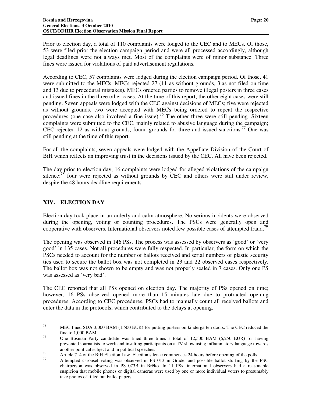Prior to election day, a total of 110 complaints were lodged to the CEC and to MECs. Of those, 53 were filed prior the election campaign period and were all processed accordingly, although legal deadlines were not always met. Most of the complaints were of minor substance. Three fines were issued for violations of paid advertisement regulations.

According to CEC, 57 complaints were lodged during the election campaign period. Of those, 41 were submitted to the MECs. MECs rejected 27 (11 as without grounds, 3 as not filed on time and 13 due to procedural mistakes). MECs ordered parties to remove illegal posters in three cases and issued fines in the three other cases. At the time of this report, the other eight cases were still pending. Seven appeals were lodged with the CEC against decisions of MECs; five were rejected as without grounds, two were accepted with MECs being ordered to repeat the respective procedures (one case also involved a fine issue).<sup>76</sup> The other three were still pending. Sixteen complaints were submitted to the CEC, mainly related to abusive language during the campaign; CEC rejected 12 as without grounds, found grounds for three and issued sanctions.<sup>77</sup> One was still pending at the time of this report.

For all the complaints, seven appeals were lodged with the Appellate Division of the Court of BiH which reflects an improving trust in the decisions issued by the CEC. All have been rejected.

The day prior to election day, 16 complaints were lodged for alleged violations of the campaign silence;<sup>78</sup> four were rejected as without grounds by CEC and others were still under review, despite the 48 hours deadline requirements.

#### **XIV. ELECTION DAY**

Election day took place in an orderly and calm atmosphere. No serious incidents were observed during the opening, voting or counting procedures. The PSCs were generally open and cooperative with observers. International observers noted few possible cases of attempted fraud.<sup>79</sup>

The opening was observed in 146 PSs. The process was assessed by observers as 'good' or 'very good' in 135 cases. Not all procedures were fully respected. In particular, the form on which the PSCs needed to account for the number of ballots received and serial numbers of plastic security ties used to secure the ballot box was not completed in 23 and 22 observed cases respectively. The ballot box was not shown to be empty and was not properly sealed in 7 cases. Only one PS was assessed as 'very bad'.

The CEC reported that all PSs opened on election day. The majority of PSs opened on time; however, 16 PSs observed opened more than 15 minutes late due to protracted opening procedures. According to CEC procedures, PSCs had to manually count all received ballots and enter the data in the protocols, which contributed to the delays at opening.

<sup>76</sup> MEC fined SDA 3,000 BAM (1,500 EUR) for putting posters on kindergarten doors. The CEC reduced the fine to 1,000 BAM.

<sup>&</sup>lt;sup>77</sup> One Bosnian Party candidate was fined three times a total of 12,500 BAM (6,250 EUR) for having prevented journalists to work and insulting participants on a TV show using inflammatory language towards another political subject and in political speeches.

<sup>&</sup>lt;sup>78</sup> Article 7. 4 of the BiH Election Law. Election silence commences 24 hours before opening of the polls.

Attempted carousel voting was observed in PS 013 in Grude, and possible ballot stuffing by the PSC chairperson was observed in PS 073B in Brčko. In 11 PSs, international observers had a reasonable suspicion that mobile phones or digital cameras were used by one or more individual voters to presumably take photos of filled out ballot papers.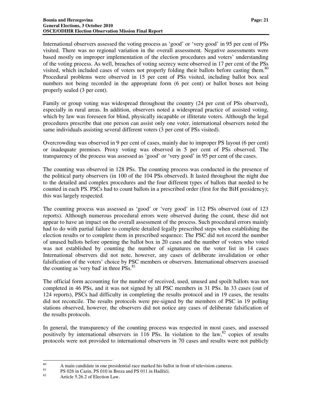International observers assessed the voting process as 'good' or 'very good' in 95 per cent of PSs visited. There was no regional variation in the overall assessment. Negative assessments were based mostly on improper implementation of the election procedures and voters' understanding of the voting process. As well, breaches of voting secrecy were observed in 17 per cent of the PSs visited, which included cases of voters not properly folding their ballots before casting them.<sup>80</sup> Procedural problems were observed in 15 per cent of PSs visited, including ballot box seal numbers not being recorded in the appropriate form (6 per cent) or ballot boxes not being properly sealed (3 per cent).

Family or group voting was widespread throughout the country (24 per cent of PSs observed), especially in rural areas. In addition, observers noted a widespread practice of assisted voting, which by law was foreseen for blind, physically incapable or illiterate voters. Although the legal procedures prescribe that one person can assist only one voter, international observers noted the same individuals assisting several different voters (3 per cent of PSs visited).

Overcrowding was observed in 9 per cent of cases, mainly due to improper PS layout (6 per cent) or inadequate premises. Proxy voting was observed in 5 per cent of PSs observed. The transparency of the process was assessed as 'good' or 'very good' in 95 per cent of the cases.

The counting was observed in 128 PSs. The counting process was conducted in the presence of the political party observers (in 100 of the 104 PSs observed). It lasted throughout the night due to the detailed and complex procedures and the four different types of ballots that needed to be counted in each PS. PSCs had to count ballots in a prescribed order (first for the BiH presidency); this was largely respected.

The counting process was assessed as 'good' or 'very good' in 112 PSs observed (out of 123 reports). Although numerous procedural errors were observed during the count, these did not appear to have an impact on the overall assessment of the process. Such procedural errors mainly had to do with partial failure to complete detailed legally prescribed steps when establishing the election results or to complete them in prescribed sequence: The PSC did not record the number of unused ballots before opening the ballot box in 20 cases and the number of voters who voted was not established by counting the number of signatures on the voter list in 14 cases International observers did not note, however, any cases of deliberate invalidation or other falsification of the voters' choice by PSC members or observers. International observers assessed the counting as 'very bad' in three  $\overline{P}$ Ss.<sup>81</sup>

The official form accounting for the number of received, used, unused and spoilt ballots was not completed in 46 PSs, and it was not signed by all PSC members in 31 PSs. In 33 cases (out of 124 reports), PSCs had difficulty in completing the results protocol and in 19 cases, the results did not reconcile. The results protocols were pre-signed by the members of PSC in 19 polling stations observed, however, the observers did not notice any cases of deliberate falsification of the results protocols.

In general, the transparency of the counting process was respected in most cases, and assessed positively by international observers in 116 PSs. In violation to the law, <sup>82</sup> copies of results protocols were not provided to international observers in 70 cases and results were not publicly

<sup>80</sup>  $80$  A main candidate in one presidential race marked his ballot in front of television cameras.

<sup>&</sup>lt;sup>81</sup> PS 026 in Cazin, PS 010 in Breza and PS 011 in Hadžići.

Article 5.26.2 of Election Law.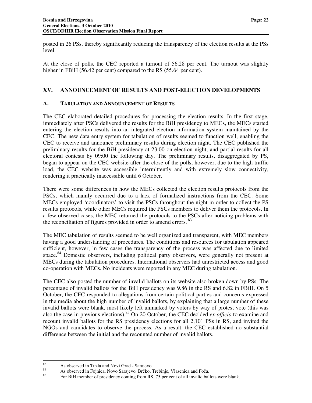posted in 26 PSs, thereby significantly reducing the transparency of the election results at the PSs level.

At the close of polls, the CEC reported a turnout of 56.28 per cent. The turnout was slightly higher in FBiH (56.42 per cent) compared to the RS (55.64 per cent).

#### **XV. ANNOUNCEMENT OF RESULTS AND POST-ELECTION DEVELOPMENTS**

#### **A. TABULATION AND ANNOUNCEMENT OF RESULTS**

The CEC elaborated detailed procedures for processing the election results. In the first stage, immediately after PSCs delivered the results for the BiH presidency to MECs, the MECs started entering the election results into an integrated election information system maintained by the CEC. The new data entry system for tabulation of results seemed to function well, enabling the CEC to receive and announce preliminary results during election night. The CEC published the preliminary results for the BiH presidency at 23:00 on election night, and partial results for all electoral contests by 09:00 the following day. The preliminary results, disaggregated by PS, began to appear on the CEC website after the close of the polls, however, due to the high traffic load, the CEC website was accessible intermittently and with extremely slow connectivity, rendering it practically inaccessible until 6 October.

There were some differences in how the MECs collected the election results protocols from the PSCs, which mainly occurred due to a lack of formalized instructions from the CEC. Some MECs employed 'coordinators' to visit the PSCs throughout the night in order to collect the PS results protocols, while other MECs required the PSCs members to deliver them the protocols. In a few observed cases, the MEC returned the protocols to the PSCs after noticing problems with the reconciliation of figures provided in order to amend errors.<sup>83</sup>

The MEC tabulation of results seemed to be well organized and transparent, with MEC members having a good understanding of procedures. The conditions and resources for tabulation appeared sufficient, however, in few cases the transparency of the process was affected due to limited space.<sup>84</sup> Domestic observers, including political party observers, were generally not present at MECs during the tabulation procedures. International observers had unrestricted access and good co-operation with MECs. No incidents were reported in any MEC during tabulation.

The CEC also posted the number of invalid ballots on its website also broken down by PSs. The percentage of invalid ballots for the BiH presidency was 9.86 in the RS and 6.82 in FBiH. On 5 October, the CEC responded to allegations from certain political parties and concerns expressed in the media about the high number of invalid ballots, by explaining that a large number of these invalid ballots were blank, most likely left unmarked by voters by way of protest vote (this was also the case in previous elections).<sup>85</sup> On 20 October, the CEC decided *ex-officio* to examine and recount invalid ballots for the RS presidency elections for all 2,101 PSs in RS, and invited the NGOs and candidates to observe the process. As a result, the CEC established no substantial difference between the initial and the recounted number of invalid ballots.

<sup>83</sup>  $83$  As observed in Tuzla and Novi Grad - Sarajevo.

<sup>84</sup> As observed in Fojnica, Novo Sarajevo, Brčko, Trebinje, Vlasenica and Foča.

For BiH member of presidency coming from RS, 75 per cent of all invalid ballots were blank.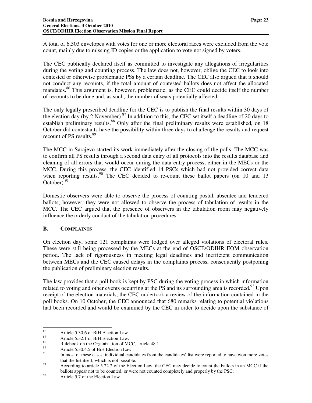A total of 6,503 envelopes with votes for one or more electoral races were excluded from the vote count, mainly due to missing ID copies or the application to vote not signed by voters.

The CEC publically declared itself as committed to investigate any allegations of irregularities during the voting and counting process. The law does not, however, oblige the CEC to look into contested or otherwise problematic PSs by a certain deadline. The CEC also argued that it should not conduct any recounts, if the total amount of contested ballots does not affect the allocated mandates.<sup>86</sup> This argument is, however, problematic, as the CEC could decide itself the number of recounts to be done and, as such, the number of seats potentially affected.

The only legally prescribed deadline for the CEC is to publish the final results within 30 days of the election day (by 2 November).<sup>87</sup> In addition to this, the CEC set itself a deadline of 20 days to establish preliminary results.<sup>88</sup> Only after the final preliminary results were established, on 18 October did contestants have the possibility within three days to challenge the results and request recount of PS results.<sup>89</sup>

The MCC in Sarajevo started its work immediately after the closing of the polls. The MCC was to confirm all PS results through a second data entry of all protocols into the results database and cleaning of all errors that would occur during the data entry process, either in the MECs or the MCC. During this process, the CEC identified 14 PSCs which had not provided correct data when reporting results.<sup>90</sup> The CEC decided to re-count these ballot papers (on 10 and 13 October). $91$ 

Domestic observers were able to observe the process of counting postal, absentee and tendered ballots; however, they were not allowed to observe the process of tabulation of results in the MCC. The CEC argued that the presence of observers in the tabulation room may negatively influence the orderly conduct of the tabulation procedures.

#### **B. COMPLAINTS**

-

On election day, some 121 complaints were lodged over alleged violations of electoral rules. These were still being processed by the MECs at the end of OSCE/ODIHR EOM observation period. The lack of rigorousness in meeting legal deadlines and inefficient communication between MECs and the CEC caused delays in the complaints process, consequently postponing the publication of preliminary election results.

The law provides that a poll book is kept by PSC during the voting process in which information related to voting and other events occurring at the PS and its surrounding area is recorded.<sup>92</sup> Upon receipt of the election materials, the CEC undertook a review of the information contained in the poll books. On 10 October, the CEC announced that 680 remarks relating to potential violations had been recorded and would be examined by the CEC in order to decide upon the substance of

<sup>&</sup>lt;sup>86</sup><br>Article 5.30.6 of BiH Election Law.<br>Article 5.32.1 of BiH Election Law.

 $87$  Article 5.32.1 of BiH Election Law.

<sup>&</sup>lt;sup>88</sup><br>Rulebook on the Organization of MCC, article 48.1.<br> $\Lambda$ <sup>\*\*</sup>icle 5.20.4.5 of PiII Election I cy:

 $89$  Article 5.30.4.5 of BiH Election Law.

In most of these cases, individual candidates from the candidates' list were reported to have won more votes that the list itself, which is not possible.

<sup>&</sup>lt;sup>91</sup> According to article 5.22.2 of the Election Law, the CEC may decide to count the ballots in an MCC if the ballots appear not to be counted, or were not counted completely and properly by the PSC.

 $^{92}$  Article 5.7 of the Election Law.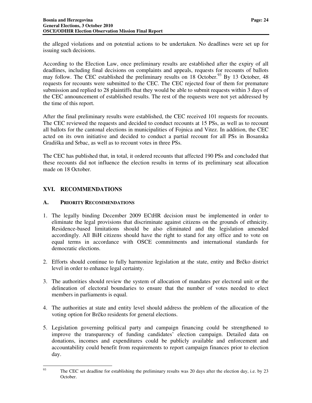the alleged violations and on potential actions to be undertaken. No deadlines were set up for issuing such decisions.

According to the Election Law, once preliminary results are established after the expiry of all deadlines, including final decisions on complaints and appeals, requests for recounts of ballots may follow. The CEC established the preliminary results on 18 October.<sup>93</sup> By 13 October, 48 requests for recounts were submitted to the CEC. The CEC rejected four of them for premature submission and replied to 28 plaintiffs that they would be able to submit requests within 3 days of the CEC announcement of established results. The rest of the requests were not yet addressed by the time of this report.

After the final preliminary results were established, the CEC received 101 requests for recounts. The CEC reviewed the requests and decided to conduct recounts at 15 PSs, as well as to recount all ballots for the cantonal elections in municipalities of Fojnica and Vitez. In addition, the CEC acted on its own initiative and decided to conduct a partial recount for all PSs in Bosanska Gradiška and Srbac, as well as to recount votes in three PSs.

The CEC has published that, in total, it ordered recounts that affected 190 PSs and concluded that these recounts did not influence the election results in terms of its preliminary seat allocation made on 18 October.

#### **XVI. RECOMMENDATIONS**

#### **A. PRIORITY RECOMMENDATIONS**

- 1. The legally binding December 2009 ECtHR decision must be implemented in order to eliminate the legal provisions that discriminate against citizens on the grounds of ethnicity. Residence-based limitations should be also eliminated and the legislation amended accordingly. All BiH citizens should have the right to stand for any office and to vote on equal terms in accordance with OSCE commitments and international standards for democratic elections.
- 2. Efforts should continue to fully harmonize legislation at the state, entity and Brčko district level in order to enhance legal certainty.
- 3. The authorities should review the system of allocation of mandates per electoral unit or the delineation of electoral boundaries to ensure that the number of votes needed to elect members in parliaments is equal.
- 4. The authorities at state and entity level should address the problem of the allocation of the voting option for Brčko residents for general elections.
- 5. Legislation governing political party and campaign financing could be strengthened to improve the transparency of funding candidates' election campaign. Detailed data on donations, incomes and expenditures could be publicly available and enforcement and accountability could benefit from requirements to report campaign finances prior to election day.

93

The CEC set deadline for establishing the preliminary results was 20 days after the election day, i.e. by 23 October.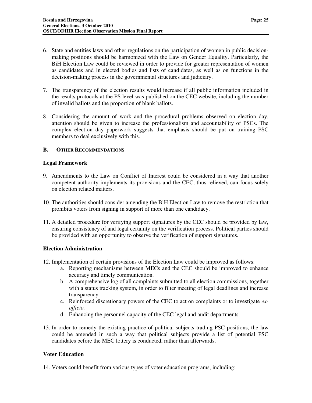- 6. State and entities laws and other regulations on the participation of women in public decisionmaking positions should be harmonized with the Law on Gender Equality. Particularly, the BiH Election Law could be reviewed in order to provide for greater representation of women as candidates and in elected bodies and lists of candidates, as well as on functions in the decision-making process in the governmental structures and judiciary.
- 7. The transparency of the election results would increase if all public information included in the results protocols at the PS level was published on the CEC website, including the number of invalid ballots and the proportion of blank ballots.
- 8. Considering the amount of work and the procedural problems observed on election day, attention should be given to increase the professionalism and accountability of PSCs. The complex election day paperwork suggests that emphasis should be put on training PSC members to deal exclusively with this.

#### **B. OTHER RECOMMENDATIONS**

#### **Legal Framework**

- 9. Amendments to the Law on Conflict of Interest could be considered in a way that another competent authority implements its provisions and the CEC, thus relieved, can focus solely on election related matters.
- 10. The authorities should consider amending the BiH Election Law to remove the restriction that prohibits voters from signing in support of more than one candidacy.
- 11. A detailed procedure for verifying support signatures by the CEC should be provided by law, ensuring consistency of and legal certainty on the verification process. Political parties should be provided with an opportunity to observe the verification of support signatures.

#### **Election Administration**

- 12. Implementation of certain provisions of the Election Law could be improved as follows:
	- a. Reporting mechanisms between MECs and the CEC should be improved to enhance accuracy and timely communication.
	- b. A comprehensive log of all complaints submitted to all election commissions, together with a status tracking system, in order to filter meeting of legal deadlines and increase transparency.
	- c. Reinforced discretionary powers of the CEC to act on complaints or to investigate *exofficio.*
	- d. Enhancing the personnel capacity of the CEC legal and audit departments.
- 13. In order to remedy the existing practice of political subjects trading PSC positions, the law could be amended in such a way that political subjects provide a list of potential PSC candidates before the MEC lottery is conducted, rather than afterwards.

#### **Voter Education**

14. Voters could benefit from various types of voter education programs, including: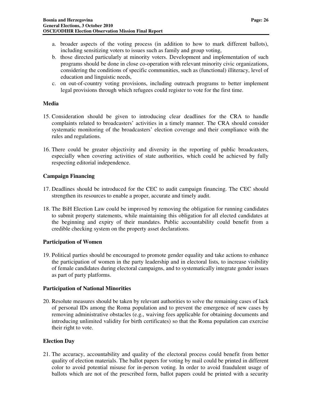- a. broader aspects of the voting process (in addition to how to mark different ballots), including sensitizing voters to issues such as family and group voting,
- b. those directed particularly at minority voters. Development and implementation of such programs should be done in close co-operation with relevant minority civic organizations, considering the conditions of specific communities, such as (functional) illiteracy, level of education and linguistic needs,
- c. on out-of-country voting provisions, including outreach programs to better implement legal provisions through which refugees could register to vote for the first time.

#### **Media**

- 15. Consideration should be given to introducing clear deadlines for the CRA to handle complaints related to broadcasters' activities in a timely manner. The CRA should consider systematic monitoring of the broadcasters' election coverage and their compliance with the rules and regulations.
- 16. There could be greater objectivity and diversity in the reporting of public broadcasters, especially when covering activities of state authorities, which could be achieved by fully respecting editorial independence.

#### **Campaign Financing**

- 17. Deadlines should be introduced for the CEC to audit campaign financing. The CEC should strengthen its resources to enable a proper, accurate and timely audit.
- 18. The BiH Election Law could be improved by removing the obligation for running candidates to submit property statements, while maintaining this obligation for all elected candidates at the beginning and expiry of their mandates. Public accountability could benefit from a credible checking system on the property asset declarations.

#### **Participation of Women**

19. Political parties should be encouraged to promote gender equality and take actions to enhance the participation of women in the party leadership and in electoral lists, to increase visibility of female candidates during electoral campaigns, and to systematically integrate gender issues as part of party platforms.

#### **Participation of National Minorities**

20. Resolute measures should be taken by relevant authorities to solve the remaining cases of lack of personal IDs among the Roma population and to prevent the emergence of new cases by removing administrative obstacles (e.g., waiving fees applicable for obtaining documents and introducing unlimited validity for birth certificates) so that the Roma population can exercise their right to vote.

#### **Election Day**

21. The accuracy, accountability and quality of the electoral process could benefit from better quality of election materials. The ballot papers for voting by mail could be printed in different color to avoid potential misuse for in-person voting. In order to avoid fraudulent usage of ballots which are not of the prescribed form, ballot papers could be printed with a security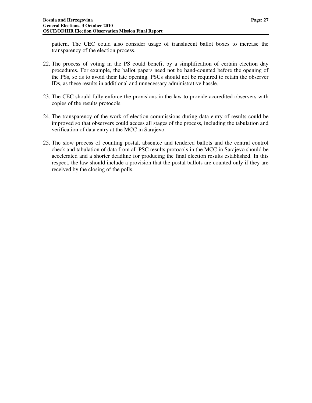pattern. The CEC could also consider usage of translucent ballot boxes to increase the transparency of the election process.

- 22. The process of voting in the PS could benefit by a simplification of certain election day procedures. For example, the ballot papers need not be hand-counted before the opening of the PSs, so as to avoid their late opening. PSCs should not be required to retain the observer IDs, as these results in additional and unnecessary administrative hassle.
- 23. The CEC should fully enforce the provisions in the law to provide accredited observers with copies of the results protocols.
- 24. The transparency of the work of election commissions during data entry of results could be improved so that observers could access all stages of the process, including the tabulation and verification of data entry at the MCC in Sarajevo.
- 25. The slow process of counting postal, absentee and tendered ballots and the central control check and tabulation of data from all PSC results protocols in the MCC in Sarajevo should be accelerated and a shorter deadline for producing the final election results established. In this respect, the law should include a provision that the postal ballots are counted only if they are received by the closing of the polls.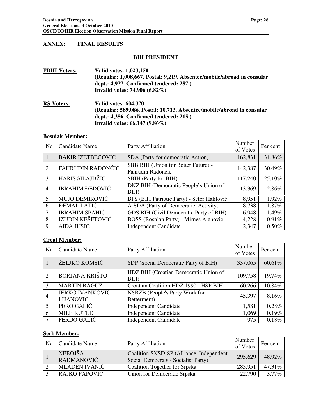#### **ANNEX: FINAL RESULTS**

#### **BIH PRESIDENT**

| <b>FBIH Voters:</b> | Valid votes: 1,023,150                                                 |
|---------------------|------------------------------------------------------------------------|
|                     | (Regular: 1,008,667. Postal: 9,219. Absentee/mobile/abroad in consular |
|                     | dept.: 4,977. Confirmed tendered: 287.)                                |
|                     | Invalid votes: 74,906 $(6.82\%)$                                       |
| <b>RS Voters:</b>   | <b>Valid votes: 604,370</b>                                            |
|                     | (Regular: 589,086. Postal: 10,713. Absentee/mobile/abroad in consular  |
|                     | dept.: 4,356. Confirmed tendered: 215.)                                |
|                     | Invalid votes: $66,147$ (9.86%)                                        |
|                     |                                                                        |

#### **Bosniak Member:**

| N <sub>0</sub> | Candidate Name           | Party Affiliation                                        | Number<br>of Votes | Per cent |
|----------------|--------------------------|----------------------------------------------------------|--------------------|----------|
|                | <b>BAKIR IZETBEGOVIĆ</b> | SDA (Party for democratic Action)                        | 162,831            | 34.86%   |
| $\overline{2}$ | FAHRUDIN RADONČIĆ        | SBB BIH (Union for Better Future) -<br>Fahrudin Radončić | 142,387            | 30.49%   |
| 3              | HARIS SILAJDŽIĆ          | <b>SBIH</b> (Party for BIH)                              | 117,240            | 25.10%   |
| $\overline{4}$ | <b>IBRAHIM ĐEDOVIĆ</b>   | DNZ BIH (Democratic People's Union of<br>BIH             | 13,369             | 2.86%    |
| 5              | <b>MUJO DEMIROVIĆ</b>    | BPS (BIH Patriotic Party) - Sefer Halilović              | 8,951              | 1.92%    |
| 6              | <b>DEMAL LATIC</b>       | A-SDA (Party of Democratic Activity)                     | 8,738              | 1.87%    |
|                | <b>IBRAHIM SPAHIC</b>    | GDS BIH (Civil Democratic Party of BIH)                  | 6,948              | 1.49%    |
| 8              | IZUDIN KEŠETOVIĆ         | BOSS (Bosnian Party) - Mirnes Ajanović                   | 4,228              | 0.91%    |
| 9              | AIDA JUSIĆ               | <b>Independent Candidate</b>                             | 2,347              | $0.50\%$ |

## **Croat Member:**

| N <sub>0</sub> | Candidate Name                | Party Affiliation                                | Number<br>of Votes | Per cent |
|----------------|-------------------------------|--------------------------------------------------|--------------------|----------|
|                | ŽELJKO KOMŠIĆ                 | SDP (Social Democratic Party of BIH)             | 337,065            | 60.61%   |
| $\overline{2}$ | <b>BORJANA KRIŠTO</b>         | HDZ BIH (Croatian Democratic Union of<br>$BIH$ ) | 109,758            | 19.74%   |
| 3              | <b>MARTIN RAGUŽ</b>           | Croatian Coalition HDZ 1990 - HSP BIH            | 60,266             | 10.84%   |
| $\overline{4}$ | JERKO IVANKOVIĆ-<br>LIJANOVIĆ | NSRZB (People's Party Work for<br>Betterment)    | 45,397             | 8.16%    |
| 5              | PERO GALIĆ                    | <b>Independent Candidate</b>                     | 1,581              | 0.28%    |
| 6              | <b>MILE KUTLE</b>             | <b>Independent Candidate</b>                     | 1,069              | 0.19%    |
|                | <b>FERDO GALIC</b>            | <b>Independent Candidate</b>                     | 975                | 0.18%    |

## **Serb Member:**

| N <sub>0</sub> | Candidate Name               | Party Affiliation                                                               | Number<br>of Votes | Per cent |
|----------------|------------------------------|---------------------------------------------------------------------------------|--------------------|----------|
|                | <b>NEBOJŠA</b><br>RADMANOVIĆ | Coalition SNSD-SP (Alliance, Independent<br>Social Democrats - Socialist Party) | 295,629            | 48.92%   |
|                | <b>MLADEN IVANIC</b>         | <b>Coalition Together for Srpska</b>                                            | 285,951            | 47.31%   |
|                | RAJKO PAPOVIĆ                | Union for Democratic Srpska                                                     | 22,790             | $3.77\%$ |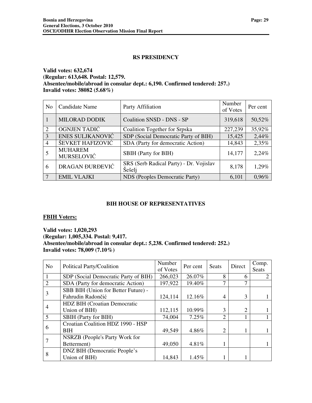#### **RS PRESIDENCY**

#### **Valid votes: 632,674 (Regular: 613,648. Postal: 12,579. Absentee/mobile/abroad in consular dept.: 6,190. Confirmed tendered: 257.) Invalid votes: 38082 (5.68%)**

| N <sub>0</sub> | Candidate Name                      | Party Affiliation                                 | Number<br>of Votes | Per cent |
|----------------|-------------------------------------|---------------------------------------------------|--------------------|----------|
|                | <b>MILORAD DODIK</b>                | Coalition SNSD - DNS - SP                         | 319,618            | 50,52%   |
| $\overline{2}$ | OGNJEN TADIĆ                        | <b>Coalition Together for Srpska</b>              | 227,239            | 35,92%   |
| 3              | ENES SULJKANOVIĆ                    | SDP (Social Democratic Party of BIH)              | 15,425             | 2,44%    |
| 4              | ŠEVKET HAFIZOVIĆ                    | SDA (Party for democratic Action)                 | 14,843             | 2,35%    |
|                | <b>MUHAREM</b><br><b>MURSELOVIĆ</b> | <b>SBIH</b> (Party for BIH)                       | 14,177             | 2,24%    |
| 6              | DRAGAN ĐURĐEVIĆ                     | SRS (Serb Radical Party) - Dr. Vojislav<br>Šešelj | 8,178              | 1,29%    |
| 7              | <b>EMIL VLAJKI</b>                  | NDS (Peoples Democratic Party)                    | 6,101              | 0.96%    |

#### **BIH HOUSE OF REPRESENTATIVES**

#### **FBIH Voters:**

**Valid votes: 1,020,293 (Regular: 1,005,334. Postal: 9,417. Absentee/mobile/abroad in consular dept.: 5,238. Confirmed tendered: 252.) Invalid votes: 78,009 (7.10%)** 

| N <sub>0</sub> | Political Party/Coalition            | Number<br>of Votes | Per cent | <b>Seats</b>                | Direct         | Comp.<br><b>Seats</b> |
|----------------|--------------------------------------|--------------------|----------|-----------------------------|----------------|-----------------------|
|                | SDP (Social Democratic Party of BIH) | 266,023            | 26.07%   | 8                           | 6              |                       |
| $\mathfrak{D}$ | SDA (Party for democratic Action)    | 197,922            | 19.40%   | 7                           | 7              |                       |
|                | SBB BIH (Union for Better Future) -  |                    |          |                             |                |                       |
|                | Fahrudin Radončić                    | 124,114            | 12.16%   | 4                           | 3              |                       |
|                | <b>HDZ BIH (Croatian Democratic</b>  |                    |          |                             |                |                       |
| 4              | Union of BIH)                        | 112,115            | 10.99%   | 3                           | $\overline{2}$ |                       |
| 5              | <b>SBIH</b> (Party for BIH)          | 74,004             | 7.25%    | ↑                           |                |                       |
|                | Croatian Coalition HDZ 1990 - HSP    |                    |          |                             |                |                       |
| 6              | <b>BIH</b>                           | 49,549             | 4.86%    | $\mathcal{D}_{\mathcal{L}}$ |                |                       |
|                | NSRZB (People's Party Work for       |                    |          |                             |                |                       |
|                | Betterment)                          | 49,050             | 4.81%    |                             |                |                       |
| 8              | DNZ BIH (Democratic People's         |                    |          |                             |                |                       |
|                | Union of BIH)                        | 14,843             | 1.45%    |                             |                |                       |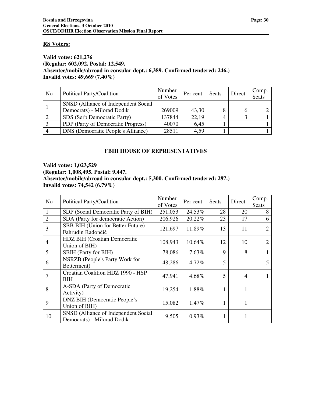#### **RS Voters:**

#### **Valid votes: 621,276 (Regular: 602,092. Postal: 12,549. Absentee/mobile/abroad in consular dept.: 6,389. Confirmed tendered: 246.) Invalid votes: 49,669 (7.40%)**

| N <sub>0</sub> | Political Party/Coalition                 | Number<br>of Votes | Per cent | Seats | Direct | Comp.<br>Seats |
|----------------|-------------------------------------------|--------------------|----------|-------|--------|----------------|
|                | SNSD (Alliance of Independent Social      |                    |          |       |        |                |
|                | Democrats) - Milorad Dodik                | 269009             | 43,30    |       |        |                |
|                | SDS (Serb Democratic Party)               | 137844             | 22,19    |       |        |                |
|                | PDP (Party of Democratic Progress)        | 40070              | 6,45     |       |        |                |
|                | <b>DNS</b> (Democratic People's Alliance) | 28511              | 4,59     |       |        |                |

## **FBIH HOUSE OF REPRESENTATIVES**

**Valid votes: 1,023,529 (Regular: 1,008,495. Postal: 9,447. Absentee/mobile/abroad in consular dept.: 5,300. Confirmed tendered: 287.) Invalid votes: 74,542 (6.79%)** 

| No             | Political Party/Coalition                                          | Number<br>of Votes | Per cent | Seats | Direct         | Comp.<br>Seats |
|----------------|--------------------------------------------------------------------|--------------------|----------|-------|----------------|----------------|
| 1              | SDP (Social Democratic Party of BIH)                               | 251,053            | 24.53%   | 28    | 20             | 8              |
| $\overline{2}$ | SDA (Party for democratic Action)                                  | 206,926            | 20.22%   | 23    | 17             | 6              |
| 3              | SBB BIH (Union for Better Future) -<br>Fahrudin Radončić           | 121,697            | 11.89%   | 13    | 11             | $\overline{2}$ |
| 4              | HDZ BIH (Croatian Democratic<br>Union of BIH)                      | 108,943            | 10.64%   | 12    | 10             | 2              |
| 5              | <b>SBIH</b> (Party for BIH)                                        | 78,086             | 7.63%    | 9     | 8              |                |
| 6              | NSRZB (People's Party Work for<br>Betterment)                      | 48,286             | 4.72%    | 5     |                | 5              |
|                | Croatian Coalition HDZ 1990 - HSP<br>BIH                           | 47,941             | 4.68%    | 5     | $\overline{4}$ |                |
| 8              | A-SDA (Party of Democratic<br>Activity)                            | 19,254             | 1.88%    | 1     | 1              |                |
| 9              | <b>DNZ BIH (Democratic People's</b><br>Union of BIH)               | 15,082             | 1.47%    | 1     | 1              |                |
| 10             | SNSD (Alliance of Independent Social<br>Democrats) - Milorad Dodik | 9,505              | 0.93%    |       | 1              |                |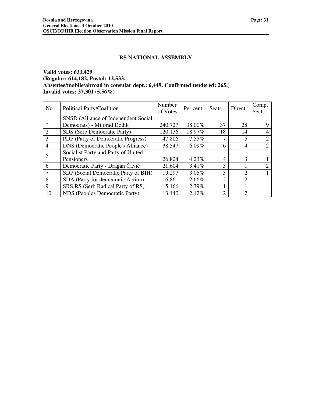#### **RS NATIONAL ASSEMBLY**

#### **Valid votes: 633,429 (Regular: 614,182. Postal: 12,533. Absentee/mobile/abroad in consular dept.: 6,449. Confirmed tendered: 265.) Invalid votes: 37,301 (5.56%)**

| N <sub>0</sub>              | Political Party/Coalition                 | Number<br>of Votes | Per cent | <b>Seats</b>  | Direct         | Comp.<br>Seats |
|-----------------------------|-------------------------------------------|--------------------|----------|---------------|----------------|----------------|
|                             | SNSD (Alliance of Independent Social      |                    |          |               |                |                |
|                             | Democrats) - Milorad Dodik                | 240,727            | 38.00%   | 37            | 28             |                |
| $\mathcal{D}_{\mathcal{L}}$ | SDS (Serb Democratic Party)               | 120,136            | 18.97%   | 18            | 14             | 4              |
|                             | PDP (Party of Democratic Progress)        | 47,806             | $7.55\%$ |               | 5              |                |
| $\overline{4}$              | <b>DNS</b> (Democratic People's Alliance) | 38,547             | 6.09%    | 6             | 4              | 2              |
|                             | Socialist Party and Party of United       |                    |          |               |                |                |
|                             | Pensioners                                | 26,824             | 4.23%    | 4             | 3              |                |
| 6                           | Democratic Party - Dragan Čavić           | 21,604             | 3.41%    | 3             |                | $\bigcirc$     |
|                             | SDP (Social Democratic Party of BIH)      | 19,297             | 3.05%    | 3             | $\overline{2}$ |                |
| 8                           | SDA (Party for democratic Action)         | 16,861             | 2.66%    | $\mathcal{D}$ | $\mathcal{D}$  |                |
| 9                           | SRS RS (Serb Radical Party of RS)         | 15,166             | 2.39%    |               |                |                |
| 10                          | NDS (Peoples Democratic Party)            | 13,440             | 2.12%    | 2             | $\overline{2}$ |                |